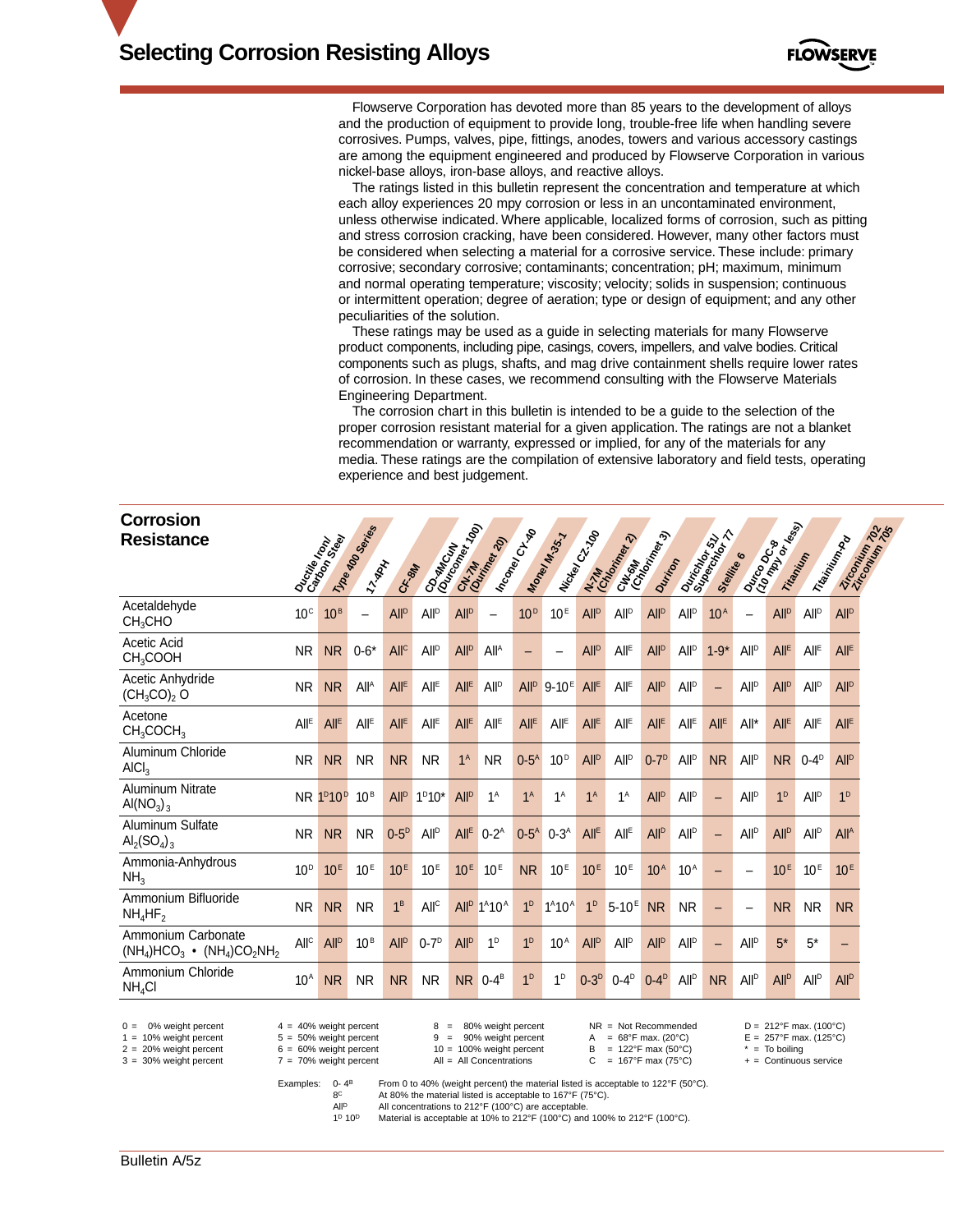

Flowserve Corporation has devoted more than 85 years to the development of alloys and the production of equipment to provide long, trouble-free life when handling severe corrosives. Pumps, valves, pipe, fittings, anodes, towers and various accessory castings are among the equipment engineered and produced by Flowserve Corporation in various nickel-base alloys, iron-base alloys, and reactive alloys.

The ratings listed in this bulletin represent the concentration and temperature at which each alloy experiences 20 mpy corrosion or less in an uncontaminated environment, unless otherwise indicated. Where applicable, localized forms of corrosion, such as pitting and stress corrosion cracking, have been considered. However, many other factors must be considered when selecting a material for a corrosive service. These include: primary corrosive; secondary corrosive; contaminants; concentration; pH; maximum, minimum and normal operating temperature; viscosity; velocity; solids in suspension; continuous or intermittent operation; degree of aeration; type or design of equipment; and any other peculiarities of the solution.

These ratings may be used as a guide in selecting materials for many Flowserve product components, including pipe, casings, covers, impellers, and valve bodies. Critical components such as plugs, shafts, and mag drive containment shells require lower rates of corrosion. In these cases, we recommend consulting with the Flowserve Materials Engineering Department.

The corrosion chart in this bulletin is intended to be a guide to the selection of the proper corrosion resistant material for a given application. The ratings are not a blanket recommendation or warranty, expressed or implied, for any of the materials for any media. These ratings are the compilation of extensive laboratory and field tests, operating experience and best judgement.

| Corrosion<br><b>Resistance</b>                         |                        |                                |                                                 |                        |                        |                        |                  |                         |                  |                        |                                               |                        |                         |                             |                          |                          |                         |                                |
|--------------------------------------------------------|------------------------|--------------------------------|-------------------------------------------------|------------------------|------------------------|------------------------|------------------|-------------------------|------------------|------------------------|-----------------------------------------------|------------------------|-------------------------|-----------------------------|--------------------------|--------------------------|-------------------------|--------------------------------|
|                                                        |                        | Ouctile Home                   | 11/10 <sub>8 KOD</sub> Services<br><b>ZYARK</b> | C.F. 84                | COMMCLIN               |                        | CN-7H READ       | Inco <sub>ney Cl-</sub> | Money Mr.33.7    | INtiden Ct. 100        | CH <sub>IGHT</sub><br>CONGHA<br>N.7M Price 22 | Durition               |                         | Ourington STT<br>Skeltike 6 |                          | Ourono Casa<br>Titamitin |                         | Ziroonium por<br>Trisinium Pro |
| Acetaldehyde<br>CH <sub>3</sub> CHO                    | $10^{\circ}$           | 10 <sup>B</sup>                | $\overline{\phantom{0}}$                        | <b>All<sup>p</sup></b> | <b>All<sup>p</sup></b> | <b>All<sup>p</sup></b> |                  | 10 <sup>D</sup>         | 10 <sup>E</sup>  | <b>All<sup>p</sup></b> | <b>All</b> <sup>D</sup>                       | <b>All<sup>p</sup></b> | <b>All<sup>p</sup></b>  | 10 <sup>A</sup>             | $\overline{\phantom{0}}$ | <b>All<sup>D</sup></b>   | <b>All</b> <sup>D</sup> | <b>All<sup>p</sup></b>         |
| Acetic Acid<br>CH <sub>3</sub> COOH                    | <b>NR</b>              | <b>NR</b>                      | $0 - 6*$                                        | All <sup>c</sup>       | All <sup>D</sup>       | All <sup>D</sup>       | All <sup>A</sup> |                         |                  | All <sup>D</sup>       | All <sup>E</sup>                              | <b>All<sup>p</sup></b> | <b>All<sup>p</sup></b>  | $1 - 9*$                    | All <sup>D</sup>         | <b>All<sup>E</sup></b>   | <b>All<sup>E</sup></b>  | All <sup>E</sup>               |
| Acetic Anhydride<br>$(CH_3CO)_2$ O                     | <b>NR</b>              | <b>NR</b>                      | <b>All<sup>A</sup></b>                          | All <sup>E</sup>       | All <sup>E</sup>       | All <sup>E</sup>       | All <sup>D</sup> | All <sup>D</sup>        | $9 - 10^{E}$     | All <sup>E</sup>       | All <sup>E</sup>                              | <b>All<sup>p</sup></b> | <b>All<sup>p</sup></b>  |                             | <b>All<sup>D</sup></b>   | All <sup>D</sup>         | <b>All</b> <sup>D</sup> | <b>All<sup>p</sup></b>         |
| Acetone<br>CH <sub>3</sub> COCH <sub>3</sub>           | <b>All<sup>E</sup></b> | All <sup>E</sup>               | <b>All<sup>E</sup></b>                          | All <sup>E</sup>       | All <sup>E</sup>       | $All^E$                | All <sup>E</sup> | All <sup>E</sup>        | All <sup>E</sup> | All <sup>E</sup>       | All <sup>E</sup>                              | All <sup>E</sup>       | All <sup>E</sup>        | All <sup>E</sup>            | All*                     | All <sup>E</sup>         | All <sup>E</sup>        | All <sup>E</sup>               |
| Aluminum Chloride<br>AICI <sub>3</sub>                 | <b>NR</b>              | <b>NR</b>                      | <b>NR</b>                                       | <b>NR</b>              | <b>NR</b>              | 1 <sup>A</sup>         | <b>NR</b>        | $0-5^A$                 | 10 <sup>D</sup>  | <b>All<sup>p</sup></b> | <b>All</b> <sup>D</sup>                       | $0-7$ <sup>D</sup>     | <b>All<sup>p</sup></b>  | <b>NR</b>                   | <b>All<sup>D</sup></b>   | <b>NR</b>                | $0-4D$                  | <b>All<sup>p</sup></b>         |
| <b>Aluminum Nitrate</b><br>Al( $NO3$ ) <sub>3</sub>    | <b>NR</b>              | 1 <sup>D</sup> 10 <sup>D</sup> | 10 <sup>B</sup>                                 | All <sup>D</sup>       | $1^D10^*$              | All <sup>D</sup>       | $1^A$            | 1 <sup>A</sup>          | 1 <sup>A</sup>   | 1 <sup>A</sup>         | 1 <sup>A</sup>                                | <b>All<sup>p</sup></b> | <b>All<sup>p</sup></b>  |                             | <b>All<sup>D</sup></b>   | 1 <sup>D</sup>           | <b>All</b> <sup>D</sup> | 1 <sup>D</sup>                 |
| Aluminum Sulfate<br>$\text{Al}_2(\text{SO}_4)_{3}$     | <b>NR</b>              | <b>NR</b>                      | <b>NR</b>                                       | $0-5^{D}$              | All <sup>D</sup>       | All <sup>E</sup>       | $0-2^A$          | $0-5^A$                 | $0-3^A$          | All <sup>E</sup>       | All <sup>E</sup>                              | <b>All<sup>p</sup></b> | <b>All<sup>p</sup></b>  | -                           | <b>All<sup>D</sup></b>   | <b>All<sup>p</sup></b>   | All <sup>D</sup>        | All <sup>A</sup>               |
| Ammonia-Anhydrous<br>NH <sub>3</sub>                   | 10 <sup>D</sup>        | 10 <sup>E</sup>                | 10 <sup>E</sup>                                 | 10 <sup>E</sup>        | 10 <sup>E</sup>        | 10 <sup>E</sup>        | 10 <sup>E</sup>  | <b>NR</b>               | 10 <sup>E</sup>  | 10 <sup>E</sup>        | 10 <sup>E</sup>                               | 10 <sup>A</sup>        | 10 <sup>A</sup>         |                             |                          | 10 <sup>E</sup>          | 10 <sup>E</sup>         | 10 <sup>E</sup>                |
| Ammonium Bifluoride<br>$NH_4HF_2$                      | <b>NR</b>              | <b>NR</b>                      | <b>NR</b>                                       | 1 <sup>B</sup>         | All <sup>C</sup>       | All <sup>D</sup>       | $1^A 10^A$       | 1 <sup>D</sup>          | $1^A 10^A$       | 1 <sup>D</sup>         | $5 - 10^{E}$                                  | <b>NR</b>              | <b>NR</b>               |                             |                          | <b>NR</b>                | <b>NR</b>               | <b>NR</b>                      |
| Ammonium Carbonate<br>$(NH_4)HCO_3$ • $(NH_4)CO_2NH_2$ | All <sup>C</sup>       | <b>All<sup>p</sup></b>         | 10 <sup>B</sup>                                 | <b>All<sup>p</sup></b> | $0-7$ <sup>D</sup>     | All <sup>D</sup>       | 1 <sup>D</sup>   | 1 <sup>D</sup>          | 10 <sup>A</sup>  | All <sup>D</sup>       | <b>All</b> <sup>D</sup>                       | All <sup>D</sup>       | <b>All</b> <sup>D</sup> | -                           | <b>All<sup>D</sup></b>   | $5*$                     | $5*$                    |                                |
| Ammonium Chloride<br>$NH_4Cl$                          | $10^A$                 | <b>NR</b>                      | <b>NR</b>                                       | <b>NR</b>              | <b>NR</b>              | N <sub>R</sub>         | $0-4^B$          | 1 <sup>D</sup>          | 1 <sup>D</sup>   | $0-3D$                 | $0-4^D$                                       | $0-4^D$                | <b>All</b> <sup>D</sup> | <b>NR</b>                   | <b>All<sup>D</sup></b>   | <b>All<sup>p</sup></b>   | All <sup>D</sup>        | <b>All<sup>p</sup></b>         |

0 = 0% weight percent 4 = 40% weight percent 8 = 80% weight percent NR = Not Recommended D = 212°F max. (100°C)<br>
1 = 10% weight percent 5 = 50% weight percent 9 = 90% weight percent A = 68°F max. (20°C) E = 257°F max. (12

 $3 = 30%$  weight percent

 $1.5 = 50\%$  weight percent  $10 = 100\%$  weight percent  $10 = 100\%$  weight percent  $10 = 100\%$  weight percent  $10 = 100\%$  weight percent  $10 = 100\%$  weight percent  $10 = 100\%$  weight percent  $10 = 100\%$  weight percent  $10 =$  $2 = 20%$  weight percent  $2 = 20%$  weight percent  $2 = 20%$  weight percent  $3 = 30%$  weight percent  $7 = 70%$  weight percent  $AII = AI$  Concentrations  $C = 167°$ F max (75°C)  $+$  = Continuous service

Examples: 0- 4B From 0 to 40% (weight percent) the material listed is acceptable to 122°F (50°C).<br> $AC = AB = 0$  At 80% the material listed is acceptable to 167°F (75°C). 8<sup>C</sup> At 80% the material listed is acceptable to 167°F (75°C).<br>All<sup>p</sup> All concentrations to 212°F (100°C) are acceptable.

All concentrations to 212°F (100°C) are acceptable.<br>
All concentrations to 212°F (100°C) are acceptable.<br>
19 109 Material is acceptable at 10% to 212°F (100°C) and

Material is acceptable at 10% to 212°F (100°C) and 100% to 212°F (100°C).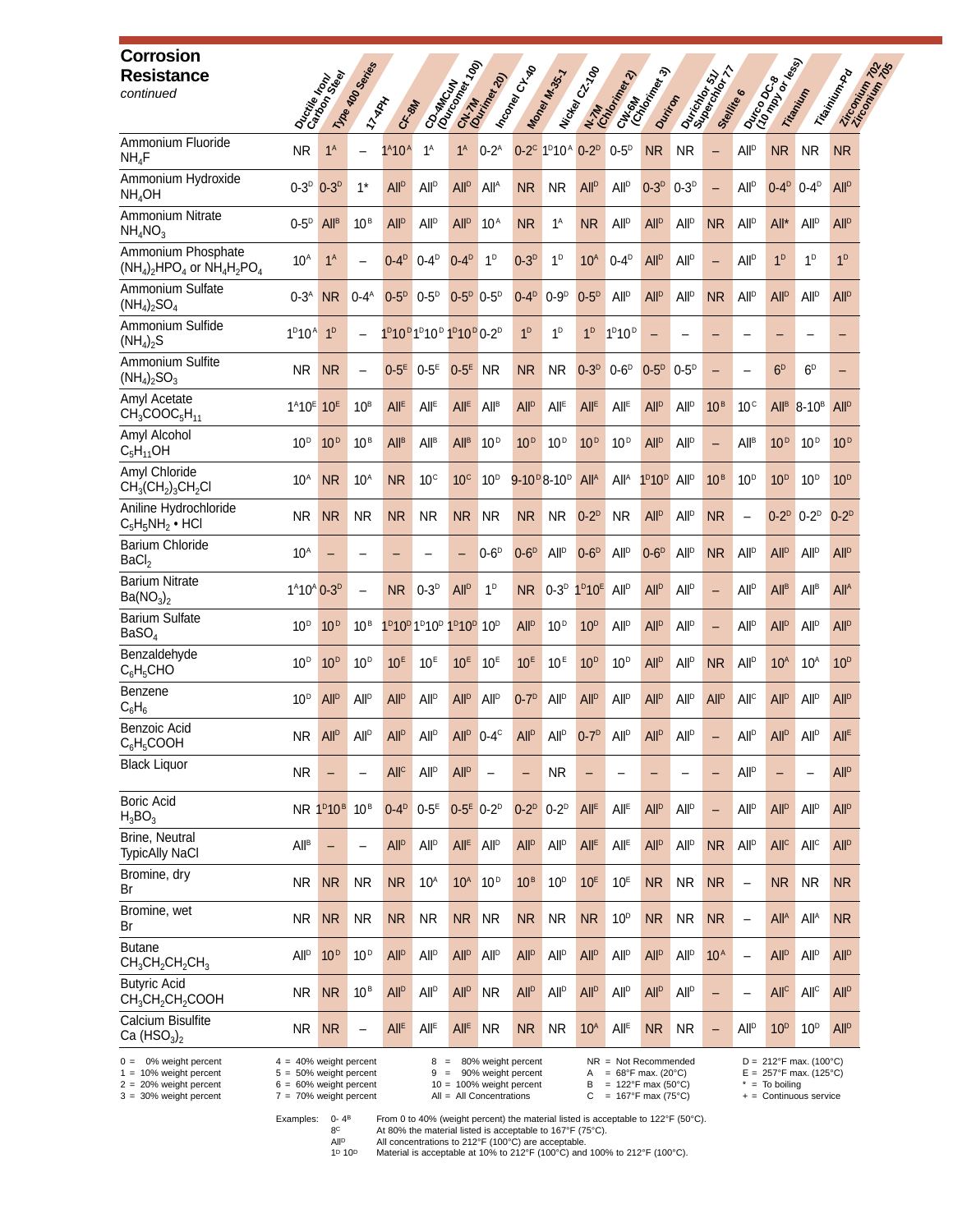| <b>Corrosion</b><br><b>Resistance</b><br>continued                                                                |                                                                                              | Ouctile Honde                     | 17/08 400 Services       | <b>T-YRAY</b><br>C.F. 8M | COLMACIÓN RE                                                                                                  | 1991<br>CNL-7M                     | 201                     | I Inconey CILTBO                                                | Money M.35.7                                                     | INckey C-100           | N-7M<br>Graderice Rev                                                                                                  | CHICANA CONSTRUCTION<br>Durition |                         | Dariator 17 T<br>Stelling | $\bullet$                | Dunco de las           | Trianityin                                                                                   | Trisinium Ro<br>Zircomium 7 |
|-------------------------------------------------------------------------------------------------------------------|----------------------------------------------------------------------------------------------|-----------------------------------|--------------------------|--------------------------|---------------------------------------------------------------------------------------------------------------|------------------------------------|-------------------------|-----------------------------------------------------------------|------------------------------------------------------------------|------------------------|------------------------------------------------------------------------------------------------------------------------|----------------------------------|-------------------------|---------------------------|--------------------------|------------------------|----------------------------------------------------------------------------------------------|-----------------------------|
| Ammonium Fluoride<br>$NH_4F$                                                                                      | <b>NR</b>                                                                                    | 1 <sup>A</sup>                    |                          | $1^A 10^A$               | $1^A$                                                                                                         | 1 <sup>A</sup>                     | $0-2^A$                 |                                                                 | 0-2 <sup>c</sup> 1 <sup>D</sup> 10 <sup>A</sup> 0-2 <sup>D</sup> |                        | $0-5^{\circ}$                                                                                                          | <b>NR</b>                        | NR.                     | $\overline{\phantom{0}}$  | All <sup>D</sup>         | NR.                    | NR.                                                                                          | <b>NR</b>                   |
| Ammonium Hydroxide<br>NH <sub>4</sub> OH                                                                          | $0-3^D$                                                                                      | $0 - 3^{D}$                       | $1*$                     | <b>All<sup>D</sup></b>   | <b>All<sup>p</sup></b>                                                                                        | <b>All</b> <sup>D</sup>            | All <sup>A</sup>        | <b>NR</b>                                                       | <b>NR</b>                                                        | <b>All<sup>p</sup></b> | <b>All<sup>p</sup></b>                                                                                                 | $0-3D$                           | $0-3D$                  | $\overline{\phantom{0}}$  | <b>All</b> <sup>D</sup>  | $0-4^D$                | $0-4$ <sup>D</sup>                                                                           | <b>All<sup>p</sup></b>      |
| Ammonium Nitrate<br>$NH_4NO_3$                                                                                    | $0-5^{\rm D}$                                                                                | All <sup>B</sup>                  | $10^{\,\rm B}$           | <b>All<sup>D</sup></b>   | <b>All<sup>D</sup></b>                                                                                        | <b>All<sup>D</sup></b>             | 10 <sup>A</sup>         | <b>NR</b>                                                       | $1^A$                                                            | <b>NR</b>              | <b>All</b> <sup>D</sup>                                                                                                | <b>All<sup>p</sup></b>           | <b>All<sup>p</sup></b>  | <b>NR</b>                 | <b>All</b> <sup>D</sup>  | All*                   | <b>All</b> <sup>D</sup>                                                                      | <b>All<sup>D</sup></b>      |
| Ammonium Phosphate<br>$(NH_4)_2HPO_4$ or $NH_4H_2PO_4$                                                            | 10 <sup>A</sup>                                                                              | 1 <sup>A</sup>                    |                          | $0-4^{\circ}$            | $0 - 4^{D}$                                                                                                   | $0-4^{\circ}$                      | 1 <sup>D</sup>          | $0-3D$                                                          | 1 <sup>D</sup>                                                   | 10 <sup>A</sup>        | $0 - 4D$                                                                                                               | <b>All<sup>p</sup></b>           | <b>All<sup>p</sup></b>  |                           | <b>All</b> <sup>D</sup>  | 1 <sup>D</sup>         | 1 <sup>D</sup>                                                                               | 1 <sup>D</sup>              |
| Ammonium Sulfate<br>$(NH_4)_2SO_4$                                                                                | $0 - 3A$                                                                                     | <b>NR</b>                         | $0 - 4A$                 | $0-5D$                   | $0-5^{\circ}$                                                                                                 | $0-5D$                             | $0-5$ <sup>D</sup>      | $0 - 4D$                                                        | $0-9D$                                                           | $0-5D$                 | <b>All<sup>p</sup></b>                                                                                                 | <b>All<sup>p</sup></b>           | <b>All<sup>p</sup></b>  | <b>NR</b>                 | <b>All</b> <sup>D</sup>  | <b>All<sup>p</sup></b> | <b>All<sup>p</sup></b>                                                                       | <b>All<sup>p</sup></b>      |
| Ammonium Sulfide<br>(NH <sub>4</sub> ) <sub>2</sub> S                                                             | 1 <sup>D</sup> 10 <sup>A</sup> 1 <sup>D</sup>                                                |                                   |                          |                          | 1 <sup>p</sup> 10 <sup>p</sup> 1 <sup>p</sup> 10 <sup>p</sup> 1 <sup>p</sup> 10 <sup>p</sup> 0-2 <sup>p</sup> |                                    |                         | 1 <sup>D</sup>                                                  | 1 <sup>D</sup>                                                   | 1 <sup>D</sup>         | 1 <sup>D</sup> 10 <sup>D</sup>                                                                                         |                                  |                         |                           |                          |                        |                                                                                              | -                           |
| Ammonium Sulfite<br>$(NH_4)_2SO_3$                                                                                | NR.                                                                                          | <b>NR</b>                         |                          | $0-5E$                   | $0-5E$                                                                                                        | $0-5E$                             | <b>NR</b>               | <b>NR</b>                                                       | <b>NR</b>                                                        | $0-3D$                 | $0-6D$                                                                                                                 | $0-5^{\circ}$                    | $0-5^{\circ}$           |                           |                          | 6 <sup>D</sup>         | 6 <sup>D</sup>                                                                               | -                           |
| Amyl Acetate<br>$CH_3COOC_5H_{11}$                                                                                | $1^{A}10^{E}$ 10 <sup>E</sup>                                                                |                                   | 10 <sup>B</sup>          | <b>All<sup>E</sup></b>   | <b>All<sup>E</sup></b>                                                                                        | <b>All<sup>E</sup></b>             | All <sup>B</sup>        | <b>All<sup>p</sup></b>                                          | <b>All<sup>E</sup></b>                                           | <b>All<sup>E</sup></b> | <b>All<sup>E</sup></b>                                                                                                 | <b>All<sup>p</sup></b>           | <b>All</b> <sup>D</sup> | 10 <sup>B</sup>           | 10 <sup>c</sup>          | All <sup>B</sup>       | $8-10^{B}$                                                                                   | <b>All<sup>p</sup></b>      |
| Amyl Alcohol<br>$C_5H_{11}OH$                                                                                     | 10 <sup>D</sup>                                                                              | 10 <sup>D</sup>                   | 10 <sup>B</sup>          | <b>All<sup>B</sup></b>   | <b>All<sup>B</sup></b>                                                                                        | All <sup>B</sup>                   | 10 <sup>D</sup>         | 10 <sup>D</sup>                                                 | 10 <sup>D</sup>                                                  | 10 <sup>D</sup>        | 10 <sup>D</sup>                                                                                                        | <b>All<sup>p</sup></b>           | <b>All<sup>p</sup></b>  |                           | <b>All<sup>B</sup></b>   | 10 <sup>D</sup>        | 10 <sup>D</sup>                                                                              | 10 <sup>D</sup>             |
| Amyl Chloride<br>$CH3(CH2)3CH2Cl$                                                                                 | 10 <sup>A</sup>                                                                              | <b>NR</b>                         | $10^A$                   | <b>NR</b>                | 10 <sup>c</sup>                                                                                               | 10 <sup>c</sup>                    | $10^{\text{D}}$         |                                                                 | $9 - 10^{D} 8 - 10^{D}$                                          | All <sup>A</sup>       | <b>All</b> <sup>A</sup>                                                                                                | $1^D10^D$                        | All <sup>D</sup>        | 10 <sup>B</sup>           | 10 <sup>D</sup>          | 10 <sup>D</sup>        | 10 <sup>D</sup>                                                                              | 10 <sup>D</sup>             |
| Aniline Hydrochloride<br>$C_5H_5NH_2$ • HCI                                                                       | <b>NR</b>                                                                                    | <b>NR</b>                         | <b>NR</b>                | <b>NR</b>                | <b>NR</b>                                                                                                     | <b>NR</b>                          | <b>NR</b>               | <b>NR</b>                                                       | <b>NR</b>                                                        | $0-2^D$                | <b>NR</b>                                                                                                              | <b>All<sup>p</sup></b>           | All <sup>D</sup>        | <b>NR</b>                 | $\overline{\phantom{0}}$ | $0-2^D$                | $0-2^p$                                                                                      | $0-2^D$                     |
| <b>Barium Chloride</b><br>BaCl <sub>2</sub>                                                                       | 10 <sup>A</sup>                                                                              |                                   |                          |                          |                                                                                                               |                                    | $0-6D$                  | $0-6D$                                                          | All <sup>D</sup>                                                 | $0-6D$                 | All <sup>p</sup>                                                                                                       | $0-6D$                           | <b>All</b> <sup>D</sup> | <b>NR</b>                 | <b>All</b> <sup>D</sup>  | All <sup>D</sup>       | All <sup>p</sup>                                                                             | <b>All<sup>p</sup></b>      |
| <b>Barium Nitrate</b><br>Ba(NO <sub>3</sub> ) <sub>2</sub>                                                        | 1 <sup>A</sup> 10 <sup>A</sup> 0-3 <sup>D</sup>                                              |                                   |                          | NR.                      | $0 - 3^{D}$                                                                                                   | <b>All<sup>p</sup></b>             | 1 <sup>D</sup>          | <b>NR</b>                                                       | $0-3D$                                                           | $1^D10^E$              | All <sup>p</sup>                                                                                                       | <b>All<sup>p</sup></b>           | All <sup>p</sup>        | $\overline{\phantom{0}}$  | All <sup>p</sup>         | <b>All<sup>B</sup></b> | All <sup>B</sup>                                                                             | <b>All<sup>A</sup></b>      |
| <b>Barium Sulfate</b><br>BaSO <sub>4</sub>                                                                        | 10 <sup>D</sup>                                                                              | 10 <sup>D</sup>                   | 10 <sup>B</sup>          |                          | 1 <sup>p</sup> 10 <sup>p</sup> 1 <sup>p</sup> 10 <sup>p</sup> 1 <sup>p</sup> 10 <sup>p</sup>                  |                                    | 10 <sup>D</sup>         | <b>All<sup>p</sup></b>                                          | 10 <sup>D</sup>                                                  | 10 <sup>D</sup>        | <b>All<sup>p</sup></b>                                                                                                 | <b>All<sup>D</sup></b>           | <b>All<sup>p</sup></b>  | $\overline{\phantom{0}}$  | <b>All</b> <sup>D</sup>  | <b>All<sup>p</sup></b> | All <sup>p</sup>                                                                             | <b>All<sup>p</sup></b>      |
| Benzaldehyde<br>$C_6H_5CHO$                                                                                       | 10 <sup>D</sup>                                                                              | 10 <sup>D</sup>                   | 10 <sup>D</sup>          | 10 <sup>E</sup>          | 10 <sup>E</sup>                                                                                               | 10 <sup>E</sup>                    | 10 <sup>E</sup>         | 10 <sup>E</sup>                                                 | 10 <sup>E</sup>                                                  | 10 <sup>D</sup>        | 10 <sup>D</sup>                                                                                                        | <b>All<sup>p</sup></b>           | <b>All<sup>p</sup></b>  | <b>NR</b>                 | <b>All</b> <sup>D</sup>  | 10 <sup>A</sup>        | 10 <sup>A</sup>                                                                              | 10 <sup>D</sup>             |
| Benzene<br>$C_6H_6$                                                                                               | 10 <sup>D</sup>                                                                              | <b>All</b> <sup>D</sup>           | <b>All<sup>p</sup></b>   | <b>All<sup>D</sup></b>   | <b>All<sup>D</sup></b>                                                                                        | <b>All<sup>p</sup></b>             | <b>All</b> <sup>D</sup> | $0 - 7^{D}$                                                     | <b>All</b> <sup>D</sup>                                          | <b>All<sup>p</sup></b> | <b>All<sup>p</sup></b>                                                                                                 | <b>All<sup>p</sup></b>           | <b>All<sup>p</sup></b>  | <b>All<sup>p</sup></b>    | All <sup>c</sup>         | <b>All<sup>p</sup></b> | All <sup>p</sup>                                                                             | <b>All<sup>p</sup></b>      |
| <b>Benzoic Acid</b><br>$C_6H_5COOH$                                                                               | <b>NR</b>                                                                                    | <b>All<sup>D</sup></b>            | All <sup>D</sup>         | <b>All<sup>D</sup></b>   | All <sup>D</sup>                                                                                              | All <sup>D</sup>                   | $0-4$ <sup>c</sup>      | <b>All<sup>p</sup></b>                                          | All <sup>D</sup>                                                 | $0-7D$                 | All <sup>D</sup>                                                                                                       | All <sup>D</sup>                 | <b>All</b> <sup>D</sup> | -                         | All <sup>D</sup>         | All <sup>p</sup>       | All <sup>D</sup>                                                                             | All <sup>e</sup>            |
| <b>Black Liquor</b>                                                                                               | <b>NR</b>                                                                                    |                                   |                          | <b>All<sup>c</sup></b>   | <b>All</b> <sup>D</sup>                                                                                       | <b>All<sup>p</sup></b>             |                         | -                                                               | <b>NR</b>                                                        | ۳                      | $\overline{\phantom{0}}$                                                                                               |                                  |                         |                           | <b>All</b> <sup>D</sup>  |                        |                                                                                              | <b>All<sup>D</sup></b>      |
| <b>Boric Acid</b><br>$H_3BO_3$                                                                                    |                                                                                              | NR 1 <sup>p</sup> 10 <sup>B</sup> | 10 <sup>B</sup>          | $0-4^{\circ}$            | $0-5^E$                                                                                                       | $0-5^E$ $0-2^D$                    |                         | $0-2^D$                                                         | $0-2^D$                                                          | All <sup>E</sup>       | $All^E$                                                                                                                | <b>All<sup>p</sup></b>           | <b>All</b> <sup>D</sup> | $\overline{\phantom{0}}$  | <b>All</b> <sup>D</sup>  | <b>All<sup>p</sup></b> | All <sup>p</sup>                                                                             | <b>All<sup>p</sup></b>      |
| Brine, Neutral<br><b>TypicAlly NaCl</b>                                                                           | All <sup>B</sup>                                                                             | $\qquad \qquad -$                 | $\overline{\phantom{0}}$ | <b>All<sup>D</sup></b>   | <b>All</b> <sup>D</sup>                                                                                       | All <sup>E</sup>                   | <b>All</b> <sup>D</sup> | <b>All<sup>p</sup></b>                                          | All <sup>D</sup>                                                 | All <sup>E</sup>       | $All^E$                                                                                                                | <b>All<sup>p</sup></b>           | All <sup>D</sup>        | <b>NR</b>                 | <b>All</b> <sup>D</sup>  | All <sup>c</sup>       | All <sup>c</sup>                                                                             | <b>All<sup>p</sup></b>      |
| Bromine, dry<br>Br                                                                                                | <b>NR</b>                                                                                    | <b>NR</b>                         | <b>NR</b>                | <b>NR</b>                | 10 <sup>A</sup>                                                                                               | 10 <sup>A</sup>                    | 10 <sup>D</sup>         | 10 <sup>B</sup>                                                 | 10 <sup>D</sup>                                                  | 10 <sup>E</sup>        | 10 <sup>E</sup>                                                                                                        | <b>NR</b>                        | <b>NR</b>               | <b>NR</b>                 | $\overline{\phantom{0}}$ | <b>NR</b>              | <b>NR</b>                                                                                    | <b>NR</b>                   |
| Bromine, wet<br>Br                                                                                                | NR.                                                                                          | <b>NR</b>                         | <b>NR</b>                | <b>NR</b>                | <b>NR</b>                                                                                                     | NR                                 | <b>NR</b>               | <b>NR</b>                                                       | <b>NR</b>                                                        | <b>NR</b>              | 10 <sup>D</sup>                                                                                                        | <b>NR</b>                        | <b>NR</b>               | <b>NR</b>                 |                          | All <sup>A</sup>       | All <sup>A</sup>                                                                             | <b>NR</b>                   |
| <b>Butane</b><br>$CH_3CH_2CH_2CH_3$                                                                               | <b>All<sup>p</sup></b>                                                                       | 10 <sup>D</sup>                   | 10 <sup>D</sup>          | <b>All<sup>D</sup></b>   | <b>All</b> <sup>D</sup>                                                                                       | <b>All</b> <sup>D</sup>            | <b>All</b> <sup>D</sup> | <b>All<sup>p</sup></b>                                          | <b>All<sup>p</sup></b>                                           | <b>All<sup>p</sup></b> | All <sup>p</sup>                                                                                                       | <b>All<sup>p</sup></b>           | All <sup>D</sup>        | 10 <sup>A</sup>           | $\qquad \qquad -$        | <b>All<sup>p</sup></b> | <b>All</b> <sup>D</sup>                                                                      | <b>All<sup>p</sup></b>      |
| <b>Butyric Acid</b><br>CH <sub>3</sub> CH <sub>2</sub> CH <sub>2</sub> COOH                                       | <b>NR</b>                                                                                    | <b>NR</b>                         | 10 <sup>B</sup>          | <b>All<sup>D</sup></b>   | <b>All</b> <sup>D</sup>                                                                                       | All <sup>D</sup>                   | <b>NR</b>               | <b>All<sup>D</sup></b>                                          | All <sup>D</sup>                                                 | <b>All<sup>p</sup></b> | All <sup>p</sup>                                                                                                       | <b>All<sup>p</sup></b>           | <b>All</b> <sup>D</sup> |                           |                          | All <sup>c</sup>       | All <sup>c</sup>                                                                             | <b>All<sup>D</sup></b>      |
| Calcium Bisulfite<br>Ca $(HSO3)2$                                                                                 | NR.                                                                                          | <b>NR</b>                         |                          | All <sup>E</sup>         | All <sup>E</sup>                                                                                              | All <sup>E</sup>                   | <b>NR</b>               | <b>NR</b>                                                       | <b>NR</b>                                                        | 10 <sup>A</sup>        | <b>All<sup>E</sup></b>                                                                                                 | <b>NR</b>                        | NR.                     | $\overline{\phantom{0}}$  | <b>All</b> <sup>D</sup>  | 10 <sup>D</sup>        | $10^{\rm D}$                                                                                 | <b>All<sup>D</sup></b>      |
| 0% weight percent<br>$0 =$<br>$1 = 10\%$ weight percent<br>$2 = 20\%$ weight percent<br>$3 = 30\%$ weight percent | $4 = 40\%$ weight percent<br>$5 =$<br>$6 = 60\%$ weight percent<br>$7 = 70\%$ weight percent | 50% weight percent                |                          |                          | 8<br>$=$<br>9<br>$10 =$                                                                                       | $\, =$<br>All = All Concentrations |                         | 80% weight percent<br>90% weight percent<br>100% weight percent |                                                                  | Α<br>В<br>С            | $NR = Not$ Recommended<br>$= 68^{\circ}$ F max. (20 $^{\circ}$ C)<br>= 122°F max (50°C)<br>= $167^{\circ}F$ max (75°C) |                                  |                         |                           | $\equiv$                 | To boiling             | $D = 212^{\circ}F$ max. (100°C)<br>$E = 257^{\circ}F$ max. (125°C)<br>+ = Continuous service |                             |

Examples:  $0-4^8$  From 0 to 40% (weight percent) the material listed is acceptable to 122°F (50°C).<br>B<sup>C</sup> At 80% the material listed is acceptable to 167°F (75°C).<br>All<sup>ididd</sup> Allit concentrations to 212°F (100°C) are accep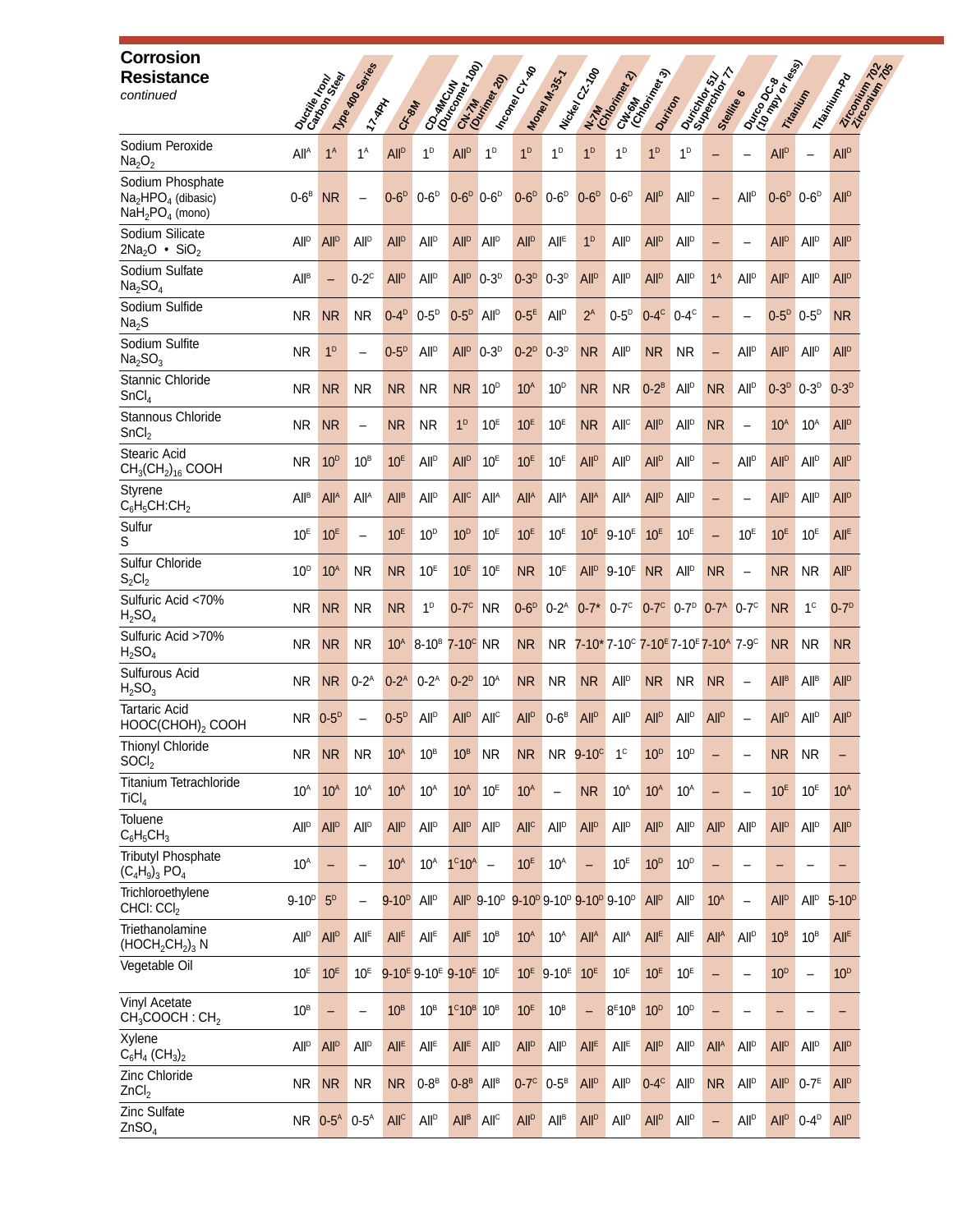| <b>Corrosion</b><br><b>Resistance</b><br>continued                                                        | Ouctine Band           |                          | 11/10 MO Series<br>17-YAN | C <sub>F-8M</sub>      |                                                                           | Contractory                           | Chr. 74                  | I hconey CHA                        | Maney M.35.7           | I Nickel C2.700          | CH <sub>ONAM</sub><br>Chom<br>N-7M<br>Gradenska                                                            | Dunton                  |                                                                  | <b>District of the Ave</b><br>Stellite |                          | Durico De Magis        | Trianityin              | Zircomium 702<br>Zircomium 702<br>Triewinton by |
|-----------------------------------------------------------------------------------------------------------|------------------------|--------------------------|---------------------------|------------------------|---------------------------------------------------------------------------|---------------------------------------|--------------------------|-------------------------------------|------------------------|--------------------------|------------------------------------------------------------------------------------------------------------|-------------------------|------------------------------------------------------------------|----------------------------------------|--------------------------|------------------------|-------------------------|-------------------------------------------------|
| Sodium Peroxide<br>Na <sub>2</sub> O <sub>2</sub>                                                         | All <sup>A</sup>       | 1 <sup>A</sup>           | $1^A$                     | <b>All<sup>D</sup></b> | 1 <sup>D</sup>                                                            | <b>All<sup>p</sup></b>                | 1 <sup>D</sup>           | 1 <sup>D</sup>                      | 1 <sup>D</sup>         | 1 <sup>D</sup>           | 1 <sup>D</sup>                                                                                             | 1 <sup>D</sup>          | $1^D$                                                            |                                        |                          | <b>All<sup>p</sup></b> |                         | <b>All<sup>D</sup></b>                          |
| Sodium Phosphate<br>Na <sub>2</sub> HPO <sub>4</sub> (dibasic)<br>NaH <sub>2</sub> PO <sub>4</sub> (mono) | $0-6^B$                | <b>NR</b>                | $\overline{\phantom{0}}$  | $0-6D$                 | $0-6D$                                                                    | $0-6D$                                | $0-6$ <sup>D</sup>       | $0-6D$                              | $0-6D$                 | $0-6D$                   | $0-6D$                                                                                                     | All <sup>D</sup>        | All <sup>D</sup>                                                 |                                        | All <sup>D</sup>         | $0-6D$                 | $0-6^{\circ}$           | All <sup>D</sup>                                |
| Sodium Silicate<br>$2Na2O$ • SiO <sub>2</sub>                                                             | <b>All<sup>D</sup></b> | <b>All<sup>p</sup></b>   | <b>All<sup>p</sup></b>    | <b>All<sup>D</sup></b> | <b>All</b> <sup>D</sup>                                                   | <b>All<sup>p</sup></b>                | <b>All</b> <sup>D</sup>  | <b>All<sup>p</sup></b>              | <b>All<sup>E</sup></b> | 1 <sup>D</sup>           | <b>All<sup>p</sup></b>                                                                                     | <b>All<sup>p</sup></b>  | <b>All</b> <sup>D</sup>                                          | -                                      | $\overline{\phantom{0}}$ | <b>All<sup>p</sup></b> | All <sup>p</sup>        | <b>All<sup>D</sup></b>                          |
| Sodium Sulfate<br>Na <sub>2</sub> SO <sub>4</sub>                                                         | All <sup>B</sup>       | $\overline{\phantom{0}}$ | $0-2$ <sup>c</sup>        | All <sup>D</sup>       | <b>All</b> <sup>D</sup>                                                   | <b>All<sup>p</sup></b>                | $0-3$ <sup>D</sup>       | $0-3D$                              | $0-3D$                 | <b>All<sup>p</sup></b>   | <b>All<sup>p</sup></b>                                                                                     | <b>All<sup>p</sup></b>  | All <sup>p</sup>                                                 | 1 <sup>A</sup>                         | All <sup>p</sup>         | <b>All<sup>p</sup></b> | All <sup>p</sup>        | <b>All</b> <sup>D</sup>                         |
| Sodium Sulfide<br>Na <sub>2</sub> S                                                                       | NR.                    | <b>NR</b>                | <b>NR</b>                 | $0 - 4D$               | $0-5^D$                                                                   | $0-5D$                                | All <sup>D</sup>         | $0-5E$                              | All <sup>p</sup>       | $2^A$                    | $0-5D$                                                                                                     | $0-4$ <sup>c</sup>      | $0-4$ <sup>c</sup>                                               |                                        |                          | $0-5D$                 | $0-5^{\circ}$           | <b>NR</b>                                       |
| Sodium Sulfite<br>Na <sub>2</sub> SO <sub>3</sub>                                                         | NR.                    | 1 <sup>D</sup>           | $\overline{\phantom{0}}$  | $0-5D$                 | All <sup>D</sup>                                                          | <b>All</b> <sup>D</sup>               | $0-3D$                   | $0-2^D$                             | $0-3D$                 | <b>NR</b>                | <b>All</b> <sup>D</sup>                                                                                    | <b>NR</b>               | <b>NR</b>                                                        | -                                      | <b>All</b> <sup>D</sup>  | <b>All<sup>p</sup></b> | <b>All</b> <sup>D</sup> | <b>All<sup>D</sup></b>                          |
| Stannic Chloride<br>SnCl <sub>4</sub>                                                                     | NR.                    | <b>NR</b>                | <b>NR</b>                 | <b>NR</b>              | <b>NR</b>                                                                 | N <sub>R</sub>                        | 10 <sup>D</sup>          | 10 <sup>A</sup>                     | 10 <sup>D</sup>        | <b>NR</b>                | <b>NR</b>                                                                                                  | $0-2^B$                 | <b>All<sup>p</sup></b>                                           | <b>NR</b>                              | <b>All</b> <sup>D</sup>  | $0-3D$                 | $0 - 3^{D}$             | $0-3D$                                          |
| Stannous Chloride<br>SnCl <sub>2</sub>                                                                    | <b>NR</b>              | <b>NR</b>                | $\overline{\phantom{0}}$  | <b>NR</b>              | <b>NR</b>                                                                 | 1 <sup>D</sup>                        | 10 <sup>E</sup>          | 10 <sup>E</sup>                     | 10 <sup>E</sup>        | <b>NR</b>                | All <sup>c</sup>                                                                                           | <b>All<sup>D</sup></b>  | <b>All</b> <sup>D</sup>                                          | <b>NR</b>                              | $\overline{\phantom{0}}$ | 10 <sup>A</sup>        | 10 <sup>A</sup>         | All <sup>D</sup>                                |
| Stearic Acid<br>$CH_3CH_2)_{16}$ COOH                                                                     | NR.                    | 10 <sup>D</sup>          | 10 <sup>B</sup>           | 10 <sup>E</sup>        | <b>All<sup>p</sup></b>                                                    | <b>All<sup>p</sup></b>                | 10 <sup>E</sup>          | 10 <sup>E</sup>                     | 10 <sup>E</sup>        | <b>All<sup>p</sup></b>   | <b>All<sup>p</sup></b>                                                                                     | <b>All<sup>p</sup></b>  | <b>All<sup>p</sup></b>                                           | $\overline{\phantom{0}}$               | <b>All</b> <sup>D</sup>  | <b>All<sup>p</sup></b> | All <sup>D</sup>        | <b>All<sup>D</sup></b>                          |
| Styrene<br>$C_6H_5CH:CH_2$                                                                                | <b>All<sup>B</sup></b> | All <sup>A</sup>         | All <sup>A</sup>          | All <sup>B</sup>       | <b>All<sup>p</sup></b>                                                    | <b>All<sup>c</sup></b>                | All <sup>A</sup>         | All <sup>A</sup>                    | All <sup>A</sup>       | All <sup>A</sup>         | All <sup>A</sup>                                                                                           | <b>All<sup>p</sup></b>  | <b>All<sup>p</sup></b>                                           |                                        |                          | <b>All<sup>p</sup></b> | All <sup>D</sup>        | <b>All<sup>p</sup></b>                          |
| Sulfur<br>S                                                                                               | 10 <sup>E</sup>        | 10 <sup>E</sup>          | $\overline{\phantom{0}}$  | 10 <sup>E</sup>        | 10 <sup>D</sup>                                                           | 10 <sup>D</sup>                       | 10 <sup>E</sup>          | 10 <sup>E</sup>                     | 10 <sup>E</sup>        | 10 <sup>E</sup>          | $9-10E$                                                                                                    | 10 <sup>E</sup>         | 10 <sup>E</sup>                                                  |                                        | 10 <sup>E</sup>          | 10 <sup>E</sup>        | 10 <sup>E</sup>         | All <sup>E</sup>                                |
| Sulfur Chloride<br>$S_2Cl_2$                                                                              | 10 <sup>D</sup>        | 10 <sup>A</sup>          | <b>NR</b>                 | <b>NR</b>              | 10 <sup>E</sup>                                                           | 10 <sup>E</sup>                       | 10 <sup>E</sup>          | N <sub>R</sub>                      | 10 <sup>E</sup>        | All <sup>D</sup>         | $9 - 10^{E}$                                                                                               | N <sub>R</sub>          | All <sup>D</sup>                                                 | NR.                                    | $\overline{\phantom{0}}$ | N <sub>R</sub>         | NR.                     | <b>All<sup>p</sup></b>                          |
| Sulfuric Acid <70%<br>H <sub>2</sub> SO <sub>4</sub>                                                      | <b>NR</b>              | <b>NR</b>                | <b>NR</b>                 | <b>NR</b>              | 1 <sup>D</sup>                                                            | $0-7$ <sup>c</sup>                    | <b>NR</b>                | $0-6D$                              | $0-2^A$                |                          | $0-7*0-7^c$                                                                                                |                         | $0-7^{\circ}$ 0-7 <sup>p</sup> 0-7 <sup>A</sup> 0-7 <sup>c</sup> |                                        |                          | <b>NR</b>              | 1 <sup>c</sup>          | $0-7D$                                          |
| Sulfuric Acid >70%<br>$H_2SO_4$                                                                           | <b>NR</b>              | <b>NR</b>                | <b>NR</b>                 | 10 <sup>A</sup>        | 8-10 <sup>B</sup> 7-10 <sup>C</sup> NR                                    |                                       |                          | N <sub>R</sub>                      | NR.                    |                          | $7 - 10$ $7 - 10$ $7 - 10$ $7 - 10$ $7 - 10$ $7 - 9$ $7 - 9$                                               |                         |                                                                  |                                        |                          | <b>NR</b>              | <b>NR</b>               | <b>NR</b>                                       |
| Sulfurous Acid<br>H <sub>2</sub> SO <sub>3</sub>                                                          | NR.                    | <b>NR</b>                | $0-2^A$                   | $0 - 2^{A}$            | $0-2^A$                                                                   | $0-2^D$                               | $10^A$                   | <b>NR</b>                           | <b>NR</b>              | <b>NR</b>                | <b>All<sup>p</sup></b>                                                                                     | <b>NR</b>               | NR.                                                              | <b>NR</b>                              | $\overline{\phantom{0}}$ | All <sup>B</sup>       | All <sup>B</sup>        | <b>All<sup>D</sup></b>                          |
| <b>Tartaric Acid</b><br>HOOC(CHOH)2 COOH                                                                  | $NR$ $0-5^p$           |                          |                           | $0-5$ <sup>D</sup>     | <b>All<sup>p</sup></b>                                                    | <b>All<sup>p</sup></b>                | All <sup>c</sup>         | All <sup>D</sup>                    | $0-6^B$                | <b>All<sup>p</sup></b>   | <b>All</b> <sup>D</sup>                                                                                    | <b>All<sup>p</sup></b>  | <b>All</b> <sup>D</sup>                                          | <b>All<sup>p</sup></b>                 | $\overline{\phantom{0}}$ | <b>All<sup>p</sup></b> | All <sup>p</sup>        | <b>All</b> <sup>D</sup>                         |
| <b>Thionyl Chloride</b><br>SOCI <sub>2</sub>                                                              | <b>NR</b>              | <b>NR</b>                | <b>NR</b>                 | 10 <sup>A</sup>        | $10^B$                                                                    | 10 <sup>B</sup>                       | <b>NR</b>                | <b>NR</b>                           | <b>NR</b>              | $9-10^{\circ}$           | 1 <sup>c</sup>                                                                                             | 10 <sup>D</sup>         | 10 <sup>D</sup>                                                  |                                        | $\overline{\phantom{0}}$ | <b>NR</b>              | <b>NR</b>               | -                                               |
| <b>Titanium Tetrachloride</b><br>TiCI <sub>4</sub>                                                        | 10 <sup>A</sup>        | 10 <sup>A</sup>          | 10 <sup>A</sup>           | 10 <sup>A</sup>        | 10 <sup>A</sup>                                                           | 10 <sup>A</sup>                       | 10 <sup>E</sup>          | 10 <sup>A</sup>                     | $\qquad \qquad -$      | <b>NR</b>                | 10 <sup>A</sup>                                                                                            | 10 <sup>A</sup>         | $10^A$                                                           |                                        | $\overline{\phantom{0}}$ | 10 <sup>E</sup>        | 10 <sup>E</sup>         | 10 <sup>A</sup>                                 |
| <b>Toluene</b><br>$C_6H_5CH_3$                                                                            | <b>All<sup>D</sup></b> | <b>All<sup>p</sup></b>   | All <sup>p</sup>          | <b>All<sup>D</sup></b> | <b>All</b> <sup>D</sup>                                                   | <b>All<sup>D</sup></b>                | <b>All</b> <sup>D</sup>  | All <sup>c</sup>                    | <b>All<sup>p</sup></b> | <b>All<sup>p</sup></b>   | All <sup>p</sup>                                                                                           | <b>All<sup>p</sup></b>  | All <sup>D</sup>                                                 | <b>All<sup>p</sup></b>                 | <b>All</b> <sup>D</sup>  | <b>All<sup>p</sup></b> | <b>All</b> <sup>D</sup> | <b>All</b> <sup>D</sup>                         |
| <b>Tributyl Phosphate</b><br>$(C_4H_9)_3$ PO <sub>4</sub>                                                 | 10 <sup>A</sup>        |                          |                           | 10 <sup>A</sup>        | 10 <sup>A</sup>                                                           | $1^c10^A$                             | $\overline{\phantom{m}}$ | 10 <sup>E</sup>                     | 10 <sup>A</sup>        | $\overline{\phantom{0}}$ | 10 <sup>E</sup>                                                                                            | 10 <sup>D</sup>         | 10 <sup>D</sup>                                                  | $\overline{\phantom{0}}$               | $\overline{\phantom{0}}$ |                        |                         | -                                               |
| Trichloroethylene<br>CHCI: CCI <sub>2</sub>                                                               | $9-10^{D}$             | 5 <sup>D</sup>           | $\overline{\phantom{0}}$  | $9 - 10^{p}$           | All <sup>D</sup>                                                          |                                       |                          |                                     |                        |                          | All <sup>p</sup> 9-10 <sup>p</sup> 9-10 <sup>p</sup> 9-10 <sup>p</sup> 9-10 <sup>p</sup> 9-10 <sup>p</sup> | <b>All</b> <sup>D</sup> | <b>All</b> <sup>D</sup>                                          | 10 <sup>A</sup>                        | $\overline{\phantom{0}}$ | All <sup>D</sup>       | All <sup>D</sup>        | $5 - 10^{D}$                                    |
| Triethanolamine<br>$(HOCH2CH2)3 N$                                                                        | All <sup>p</sup>       | <b>All<sup>p</sup></b>   | $All^E$                   | $All^E$                | All <sup>E</sup>                                                          | <b>All<sup>E</sup></b>                | 10 <sup>B</sup>          | 10 <sup>A</sup>                     | 10 <sup>A</sup>        | <b>All<sup>A</sup></b>   | <b>All</b> <sup>A</sup>                                                                                    | All <sup>E</sup>        | $All^E$                                                          | <b>All<sup>A</sup></b>                 | All <sup>D</sup>         | 10 <sup>B</sup>        | 10 <sup>B</sup>         | All <sup>E</sup>                                |
| Vegetable Oil                                                                                             | 10 <sup>E</sup>        | 10 <sup>E</sup>          | 10 <sup>E</sup>           |                        | $9 - 10$ <sup>E</sup> 9-10 <sup>E</sup> 9-10 <sup>E</sup> 10 <sup>E</sup> |                                       |                          | 10 <sup>E</sup>                     | $9-10$ <sup>E</sup>    | 10 <sup>E</sup>          | 10 <sup>E</sup>                                                                                            | 10 <sup>E</sup>         | 10 <sup>E</sup>                                                  | $\overline{\phantom{0}}$               | $\overline{\phantom{0}}$ | 10 <sup>D</sup>        |                         | 10 <sup>D</sup>                                 |
| Vinyl Acetate<br>CH <sub>3</sub> COOCH : CH <sub>2</sub>                                                  | 10 <sup>B</sup>        | $\qquad \qquad -$        |                           | 10 <sup>B</sup>        | 10 <sup>B</sup>                                                           | $1^{\circ}10^{\circ}$ 10 <sup>B</sup> |                          | 10 <sup>E</sup>                     | 10 <sup>B</sup>        | -                        | 8 <sup>E</sup> 10 <sup>B</sup>                                                                             | 10 <sup>D</sup>         | 10 <sup>D</sup>                                                  |                                        |                          |                        |                         | -                                               |
| Xylene<br>$C_6H_4$ (CH <sub>3</sub> ) <sub>2</sub>                                                        | All <sup>D</sup>       | All <sup>D</sup>         | All <sup>p</sup>          | All <sup>E</sup>       | All <sup>E</sup>                                                          | All <sup>E</sup>                      | <b>All</b> <sup>D</sup>  | <b>All<sup>p</sup></b>              | All <sup>D</sup>       | All <sup>E</sup>         | All <sup>E</sup>                                                                                           | <b>All<sup>p</sup></b>  | All <sup>D</sup>                                                 | All <sup>A</sup>                       | All <sup>D</sup>         | <b>All<sup>p</sup></b> | <b>All</b> <sup>D</sup> | <b>All<sup>p</sup></b>                          |
| Zinc Chloride<br>ZnCl <sub>2</sub>                                                                        | NR.                    | <b>NR</b>                | <b>NR</b>                 | <b>NR</b>              | $0-8^B$                                                                   | $0-8B$                                | All <sup>B</sup>         | $0-7$ <sup><math>\circ</math></sup> | $0-5^B$                | <b>All<sup>p</sup></b>   | All <sup>D</sup>                                                                                           | $0-4$ <sup>c</sup>      | All <sup>D</sup>                                                 | <b>NR</b>                              | <b>All</b> <sup>D</sup>  | All <sup>D</sup>       | $0-7^E$                 | <b>All<sup>D</sup></b>                          |
| Zinc Sulfate<br>ZnSO <sub>4</sub>                                                                         | <b>NR</b>              | $0-5A$                   | $0-5^A$                   | All <sup>C</sup>       | <b>All<sup>D</sup></b>                                                    | <b>All<sup>B</sup></b>                | All <sup>c</sup>         | <b>All<sup>p</sup></b>              | All <sup>B</sup>       | <b>All<sup>p</sup></b>   | All <sup>D</sup>                                                                                           | <b>All<sup>p</sup></b>  | All <sup>D</sup>                                                 | $\overline{\phantom{0}}$               | <b>All</b> <sup>D</sup>  | All <sup>D</sup>       | $0 - 4^{D}$             | <b>All<sup>D</sup></b>                          |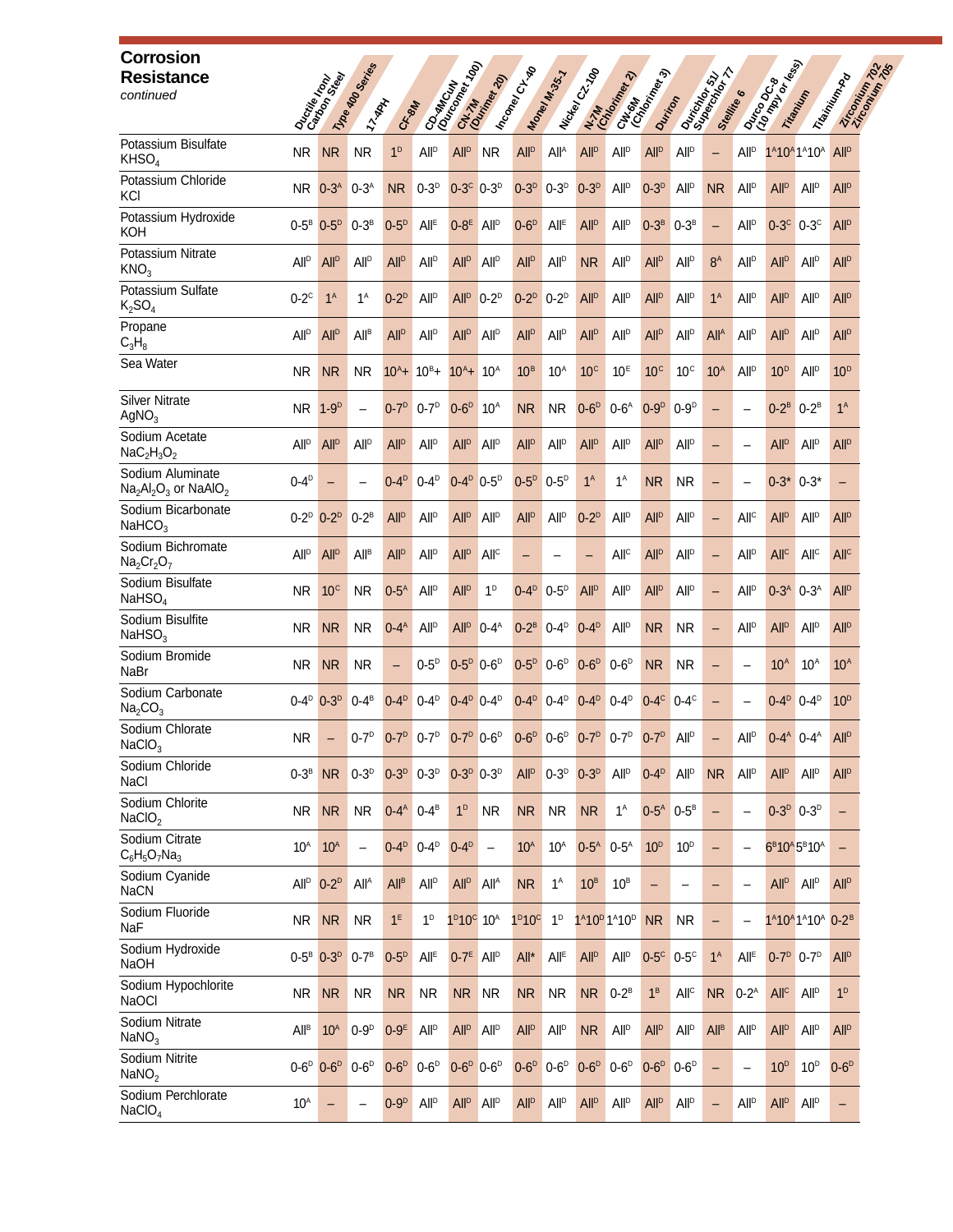| <b>Corrosion</b><br><b>Resistance</b><br>continued                         |                         | Ducties on Seat        | 11/10 MO Series<br>11-YAN | CR-80H                 | CO-MACINA                                                  | 1991                       | Chr.7h                   | I Inconey CILTON               | Maney M.35.7           | I Nickel C2.700                                                     | CHISMA<br>CHIMPORT<br>N. M. Maria Rev. 2)                     | Durition                            |                         | Dariator 51 T<br>Stelling 6 |                          | <b>During Draw</b><br>(10 mg Draw | Trianition                                                                     | Trising Rd<br>Liccomium 7 |
|----------------------------------------------------------------------------|-------------------------|------------------------|---------------------------|------------------------|------------------------------------------------------------|----------------------------|--------------------------|--------------------------------|------------------------|---------------------------------------------------------------------|---------------------------------------------------------------|-------------------------------------|-------------------------|-----------------------------|--------------------------|-----------------------------------|--------------------------------------------------------------------------------|---------------------------|
| Potassium Bisulfate<br>KHSO <sub>4</sub>                                   | <b>NR</b>               | <b>NR</b>              | <b>NR</b>                 | 1 <sup>D</sup>         | <b>All<sup>p</sup></b>                                     | <b>All<sup>p</sup></b>     | <b>NR</b>                | <b>All<sup>p</sup></b>         | All <sup>A</sup>       | <b>All<sup>p</sup></b>                                              | All <sup>p</sup>                                              | <b>All<sup>p</sup></b>              | All <sup>D</sup>        | $\overline{\phantom{0}}$    | <b>All</b> <sup>D</sup>  |                                   | 1 <sup>A</sup> 10 <sup>A</sup> 1 <sup>A</sup> 10 <sup>A</sup>                  | <b>All<sup>p</sup></b>    |
| Potassium Chloride<br>KCI                                                  | <b>NR</b>               | $0-3A$                 | $0-3A$                    | <b>NR</b>              | $0-3^D$                                                    | $0-3^c$ $0-3^D$            |                          | $0-3D$                         | $0-3^D$                | $0-3^D$                                                             | <b>All<sup>p</sup></b>                                        | $0-3D$                              | All <sup>D</sup>        | <b>NR</b>                   | <b>All</b> <sup>D</sup>  | <b>All<sup>p</sup></b>            | <b>All<sup>p</sup></b>                                                         | <b>All<sup>p</sup></b>    |
| Potassium Hydroxide<br>кон                                                 | $0-5^B$                 | $0-5D$                 | $0-3^B$                   | $0-5^D$                | All <sup>E</sup>                                           | $0-8^E$ All <sup>D</sup>   |                          | $0-6D$                         | All <sup>E</sup>       | <b>All<sup>p</sup></b>                                              | <b>All<sup>p</sup></b>                                        | $0-3^B$                             | $0-3^B$                 | $\overline{\phantom{0}}$    | <b>All</b> <sup>D</sup>  | $0-3$ <sup>c</sup>                | $0-3$ <sup>c</sup>                                                             | <b>All<sup>p</sup></b>    |
| Potassium Nitrate<br>KNO <sub>3</sub>                                      | <b>All</b> <sup>D</sup> | <b>All<sup>D</sup></b> | <b>All<sup>p</sup></b>    | <b>All<sup>D</sup></b> | <b>All<sup>p</sup></b>                                     | <b>All<sup>p</sup></b>     | <b>All</b> <sup>D</sup>  | <b>All<sup>p</sup></b>         | All <sup>D</sup>       | <b>NR</b>                                                           | <b>All</b> <sup>D</sup>                                       | <b>All<sup>p</sup></b>              | All <sup>D</sup>        | $8^A$                       | <b>All</b> <sup>D</sup>  | <b>All<sup>p</sup></b>            | <b>All<sup>p</sup></b>                                                         | <b>All<sup>p</sup></b>    |
| Potassium Sulfate<br>$K_2SO_4$                                             | $0-2$ <sup>c</sup>      | 1 <sup>A</sup>         | $1^A$                     | $0-2^D$                | All <sup>D</sup>                                           | All <sup>D</sup>           | $0-2^D$                  | $0-2^D$                        | $0-2^D$                | <b>All<sup>p</sup></b>                                              | <b>All</b> <sup>D</sup>                                       | <b>All<sup>p</sup></b>              | <b>All<sup>p</sup></b>  | 1 <sup>A</sup>              | <b>All</b> <sup>D</sup>  | <b>All</b> <sup>D</sup>           | <b>All</b> <sup>D</sup>                                                        | <b>All<sup>D</sup></b>    |
| Propane<br>$C_3H_8$                                                        | <b>All<sup>D</sup></b>  | <b>All<sup>p</sup></b> | <b>All<sup>B</sup></b>    | <b>All<sup>D</sup></b> | <b>All<sup>p</sup></b>                                     | All <sup>D</sup>           | <b>All</b> <sup>D</sup>  | <b>All<sup>p</sup></b>         | All <sup>D</sup>       | <b>All<sup>p</sup></b>                                              | <b>All</b> <sup>D</sup>                                       | <b>All<sup>p</sup></b>              | <b>All</b> <sup>D</sup> | All <sup>A</sup>            | <b>All</b> <sup>D</sup>  | <b>All</b> <sup>D</sup>           | <b>All<sup>p</sup></b>                                                         | <b>All<sup>p</sup></b>    |
| Sea Water                                                                  | NR.                     | <b>NR</b>              | <b>NR</b>                 | $10^{A}+$              | $10^{B}+$                                                  | $10^{A}+$                  | 10 <sup>A</sup>          | 10 <sup>B</sup>                | $10^{\rm A}$           | 10 <sup>c</sup>                                                     | 10 <sup>E</sup>                                               | 10 <sup>c</sup>                     | 10 <sup>c</sup>         | 10 <sup>A</sup>             | <b>All</b> <sup>D</sup>  | 10 <sup>D</sup>                   | <b>All<sup>p</sup></b>                                                         | 10 <sup>D</sup>           |
| <b>Silver Nitrate</b><br>AgNO <sub>3</sub>                                 | NR.                     | $1-9D$                 |                           | $0-7D$                 | $0-7^D$                                                    | $0-6D$                     | 10 <sup>A</sup>          | <b>NR</b>                      | <b>NR</b>              | $0-6D$                                                              | $0-6^A$                                                       | $0-9D$                              | $0-9D$                  |                             |                          | $0-2^B$                           | $0-2^B$                                                                        | 1 <sup>A</sup>            |
| Sodium Acetate<br>$NaC2H3O2$                                               | <b>All</b> <sup>D</sup> | <b>All<sup>p</sup></b> | <b>All<sup>p</sup></b>    | <b>All<sup>D</sup></b> | <b>All</b> <sup>D</sup>                                    | <b>All<sup>p</sup></b>     | <b>All</b> <sup>D</sup>  | <b>All<sup>p</sup></b>         | All <sup>D</sup>       | <b>All<sup>p</sup></b>                                              | <b>All</b> <sup>D</sup>                                       | <b>All<sup>p</sup></b>              | <b>All<sup>p</sup></b>  | -                           | $\overline{\phantom{0}}$ | All <sup>D</sup>                  | <b>All<sup>p</sup></b>                                                         | <b>All<sup>p</sup></b>    |
| Sodium Aluminate<br>$\text{Na}_2\text{Al}_2\text{O}_3$ or $\text{NaAlO}_2$ | $0-4^{\circ}$           |                        |                           | $0-4^D$                | $0 - 4^D$                                                  | $0 - 4^D$ 0-5 <sup>D</sup> |                          | $0-5D$                         | $0-5^D$                | 1 <sup>A</sup>                                                      | $1^A$                                                         | <b>NR</b>                           | <b>NR</b>               | -                           | $\overline{\phantom{0}}$ | $0-3$ * $0-3$ *                   |                                                                                | -                         |
| Sodium Bicarbonate<br>NaHCO <sub>3</sub>                                   | $0-2^D$                 | $0-2^D$                | $0-2^B$                   | <b>All<sup>D</sup></b> | <b>All</b> <sup>D</sup>                                    | <b>All</b> <sup>D</sup>    | <b>All</b> <sup>D</sup>  | <b>All<sup>p</sup></b>         | <b>All<sup>p</sup></b> | $0-2^D$                                                             | <b>All</b> <sup>D</sup>                                       | <b>All</b> <sup>D</sup>             | <b>All</b> <sup>D</sup> | $\overline{\phantom{0}}$    | All <sup>c</sup>         | <b>All</b> <sup>D</sup>           | <b>All<sup>p</sup></b>                                                         | <b>All<sup>p</sup></b>    |
| Sodium Bichromate<br>$Na2Cr2O7$                                            | <b>All<sup>p</sup></b>  | <b>All<sup>p</sup></b> | All <sup>B</sup>          | <b>All<sup>p</sup></b> | All <sup>p</sup>                                           | <b>All<sup>p</sup></b>     | All <sup>c</sup>         |                                |                        | -                                                                   | All <sup>c</sup>                                              | All <sup>D</sup>                    | All <sup>p</sup>        | -                           | All <sup>p</sup>         | All <sup>c</sup>                  | All <sup>c</sup>                                                               | All <sup>c</sup>          |
| Sodium Bisulfate<br>NaHSO <sub>4</sub>                                     | NR.                     | 10 <sup>c</sup>        | <b>NR</b>                 | $0-5^A$                | <b>All<sup>p</sup></b>                                     | All <sup>D</sup>           | 1 <sup>D</sup>           | $0-4^D$                        | $0-5^D$                | <b>All<sup>p</sup></b>                                              | All <sup>p</sup>                                              | <b>All<sup>p</sup></b>              | <b>All<sup>p</sup></b>  | $\qquad \qquad -$           | All <sup>D</sup>         |                                   | $0-3^{A}$ $0-3^{A}$                                                            | <b>All<sup>p</sup></b>    |
| Sodium Bisulfite<br>$N$ aHSO <sub>3</sub>                                  | NR.                     | <b>NR</b>              | <b>NR</b>                 | $0 - 4^A$              | <b>All<sup>p</sup></b>                                     | All <sup>D</sup>           | $0-4^A$                  | $0-2^B$                        | $0 - 4^p$              | $0 - 4D$                                                            | <b>All</b> <sup>D</sup>                                       | <b>NR</b>                           | <b>NR</b>               | $\qquad \qquad -$           | <b>All</b> <sup>D</sup>  | All <sup>D</sup>                  | <b>All</b> <sup>D</sup>                                                        | <b>All<sup>p</sup></b>    |
| Sodium Bromide<br>NaBr                                                     | NR.                     | <b>NR</b>              | NR.                       | $\qquad \qquad -$      | $0-5^D$                                                    | $0 - 5^D$ $0 - 6^D$        |                          | $0-5D$                         | $0-6$ <sup>D</sup>     | $0-6D$                                                              | $0-6D$                                                        | <b>NR</b>                           | <b>NR</b>               | -                           |                          | 10 <sup>A</sup>                   | 10 <sup>A</sup>                                                                | 10 <sup>A</sup>           |
| Sodium Carbonate<br>Na <sub>2</sub> CO <sub>3</sub>                        | $0-4^{\circ}$           | $0-3D$                 | $0-4^B$                   | $0-4^D$                | $0-4^D$                                                    | $0 - 4^D$ $0 - 4^D$        |                          |                                | $0 - 4^D$ $0 - 4^D$    | $0-4^{\circ}$                                                       | $0-4^D$                                                       | $0-4^\circ$                         | $0 - 4^C$               |                             | $\overline{\phantom{0}}$ | $0-4^{\circ}$                     | $0 - 4^{D}$                                                                    | 10 <sup>D</sup>           |
| Sodium Chlorate<br>NaClO <sub>3</sub>                                      | <b>NR</b>               |                        | $0-7D$                    |                        | $0-7^D$ 0-7 <sup>D</sup> 0-7 <sup>D</sup> 0-6 <sup>D</sup> |                            |                          |                                |                        | 0-6 <sup>D</sup> 0-6 <sup>D</sup> 0-7 <sup>D</sup> 0-7 <sup>D</sup> |                                                               | $0-7$ <sup>D</sup>                  | $AllD$                  |                             | All <sup>D</sup>         |                                   | $0 - 4^A$ $0 - 4^A$                                                            | <b>All</b> <sup>D</sup>   |
| Sodium Chloride<br><b>NaCl</b>                                             | $0-3^B$                 | <b>NR</b>              | $0-3^D$                   | $0-3D$                 | $0-3D$                                                     | $0 - 3D 0 - 3D$            |                          | <b>All<sup>p</sup></b>         | $0-3^D$                | $0-3D$                                                              | <b>All<sup>p</sup></b>                                        | $0-4^D$                             | <b>All</b> <sup>D</sup> | <b>NR</b>                   | <b>All</b> <sup>D</sup>  | <b>All<sup>p</sup></b>            | <b>All<sup>p</sup></b>                                                         | <b>All<sup>p</sup></b>    |
| Sodium Chlorite<br>NaClO <sub>2</sub>                                      | <b>NR</b>               | <b>NR</b>              | <b>NR</b>                 | $0-4^A$                | $0-4^B$                                                    | 1 <sup>D</sup>             | <b>NR</b>                | <b>NR</b>                      | <b>NR</b>              | <b>NR</b>                                                           | $1^A$                                                         | $0-5^{A}$ 0-5 <sup>B</sup>          |                         | -                           |                          |                                   | $0 - 3D$ $0 - 3D$                                                              | -                         |
| Sodium Citrate<br>$C_6H_5O_7Na_3$                                          | 10 <sup>A</sup>         | 10 <sup>A</sup>        | $\overline{\phantom{0}}$  | $0-4D$                 | $0-4^D$                                                    | $0-4^D$                    | $\overline{\phantom{0}}$ | 10 <sup>A</sup>                | 10 <sup>A</sup>        | $0-5^A$                                                             | $0-5^A$                                                       | 10 <sup>D</sup>                     | 10 <sup>D</sup>         | $\qquad \qquad -$           | $\overline{\phantom{0}}$ |                                   | 6 <sup>8</sup> 10 <sup>A</sup> 5 <sup>B</sup> 10 <sup>A</sup>                  | -                         |
| Sodium Cyanide<br><b>NaCN</b>                                              | All <sup>D</sup>        | $0-2^D$                | All <sup>A</sup>          | All <sup>B</sup>       | All <sup>D</sup>                                           | All <sup>D</sup>           | All <sup>A</sup>         | N <sub>R</sub>                 | $1^A$                  | 10 <sup>B</sup>                                                     | $10^{\text{B}}$                                               | $\qquad \qquad -$                   |                         | $\qquad \qquad -$           | $\overline{\phantom{0}}$ | <b>All<sup>p</sup></b>            | <b>All</b> <sup>D</sup>                                                        | All <sup>D</sup>          |
| Sodium Fluoride<br>NaF                                                     | NR.                     | <b>NR</b>              | <b>NR</b>                 | 1 <sup>E</sup>         | 1 <sup>D</sup>                                             | $1^D10^C$ 10 <sup>A</sup>  |                          | 1 <sup>D</sup> 10 <sup>C</sup> | 1 <sup>D</sup>         |                                                                     | 1 <sup>A</sup> 10 <sup>D</sup> 1 <sup>A</sup> 10 <sup>D</sup> | <b>NR</b>                           | <b>NR</b>               | -                           |                          |                                   | 1 <sup>A</sup> 10 <sup>A</sup> 1 <sup>A</sup> 10 <sup>A</sup> 0-2 <sup>B</sup> |                           |
| Sodium Hydroxide<br><b>NaOH</b>                                            | $0 - 5^B$ $0 - 3^D$     |                        | $0-7B$                    | $0-5D$                 | All <sup>E</sup>                                           | $0-7^E$ All <sup>D</sup>   |                          | All*                           | $All^E$                | <b>All<sup>p</sup></b>                                              | <b>All<sup>p</sup></b>                                        | $0-5$ <sup><math>\circ</math></sup> | $0-5$ <sup>c</sup>      | 1 <sup>A</sup>              | All <sup>E</sup>         |                                   | $0-7^D$ 0-7 <sup>D</sup>                                                       | All <sup>D</sup>          |
| Sodium Hypochlorite<br><b>NaOCI</b>                                        | NR                      | <b>NR</b>              | <b>NR</b>                 | <b>NR</b>              | <b>NR</b>                                                  | <b>NR</b>                  | <b>NR</b>                | <b>NR</b>                      | <b>NR</b>              | <b>NR</b>                                                           | $0-2^B$                                                       | 1 <sup>B</sup>                      | All <sup>c</sup>        | <b>NR</b>                   | $0 - 2^{A}$              | All <sup>c</sup>                  | <b>All</b> <sup>D</sup>                                                        | 1 <sup>D</sup>            |
| Sodium Nitrate<br>NaNO <sub>3</sub>                                        | <b>All<sup>B</sup></b>  | 10 <sup>A</sup>        | $0-9D$                    | $0-9E$                 | All <sup>D</sup>                                           | All <sup>D</sup>           | <b>All</b> <sup>D</sup>  | <b>All<sup>p</sup></b>         | All <sup>D</sup>       | <b>NR</b>                                                           | <b>All<sup>p</sup></b>                                        | All <sup>D</sup>                    | All <sup>D</sup>        | All <sup>B</sup>            | <b>All</b> <sup>D</sup>  | All <sup>D</sup>                  | <b>All<sup>p</sup></b>                                                         | <b>All<sup>p</sup></b>    |
| Sodium Nitrite<br>NaNO <sub>2</sub>                                        | $0 - 6^D$ $0 - 6^D$     |                        | $0-6D$                    | $0-6D$                 | $0-6D$                                                     | $0 - 6^D$ $0 - 6^D$        |                          | $0-6D$                         | $0-6^D$                | $0-6D$                                                              | $0-6D$                                                        | $0-6D$                              | $0-6D$                  | -                           | $\overline{\phantom{0}}$ | 10 <sup>D</sup>                   | 10 <sup>D</sup>                                                                | $0-6D$                    |
| Sodium Perchlorate<br>NaClO <sub>4</sub>                                   | 10 <sup>A</sup>         |                        |                           | $0-9D$                 | All <sup>D</sup>                                           | All <sup>D</sup>           | All <sup>D</sup>         | All <sup>D</sup>               | All <sup>D</sup>       | All <sup>D</sup>                                                    | <b>All<sup>p</sup></b>                                        | <b>All<sup>D</sup></b>              | All <sup>D</sup>        | $\qquad \qquad -$           | <b>All</b> <sup>D</sup>  | <b>All<sup>p</sup></b>            | <b>All<sup>p</sup></b>                                                         | -                         |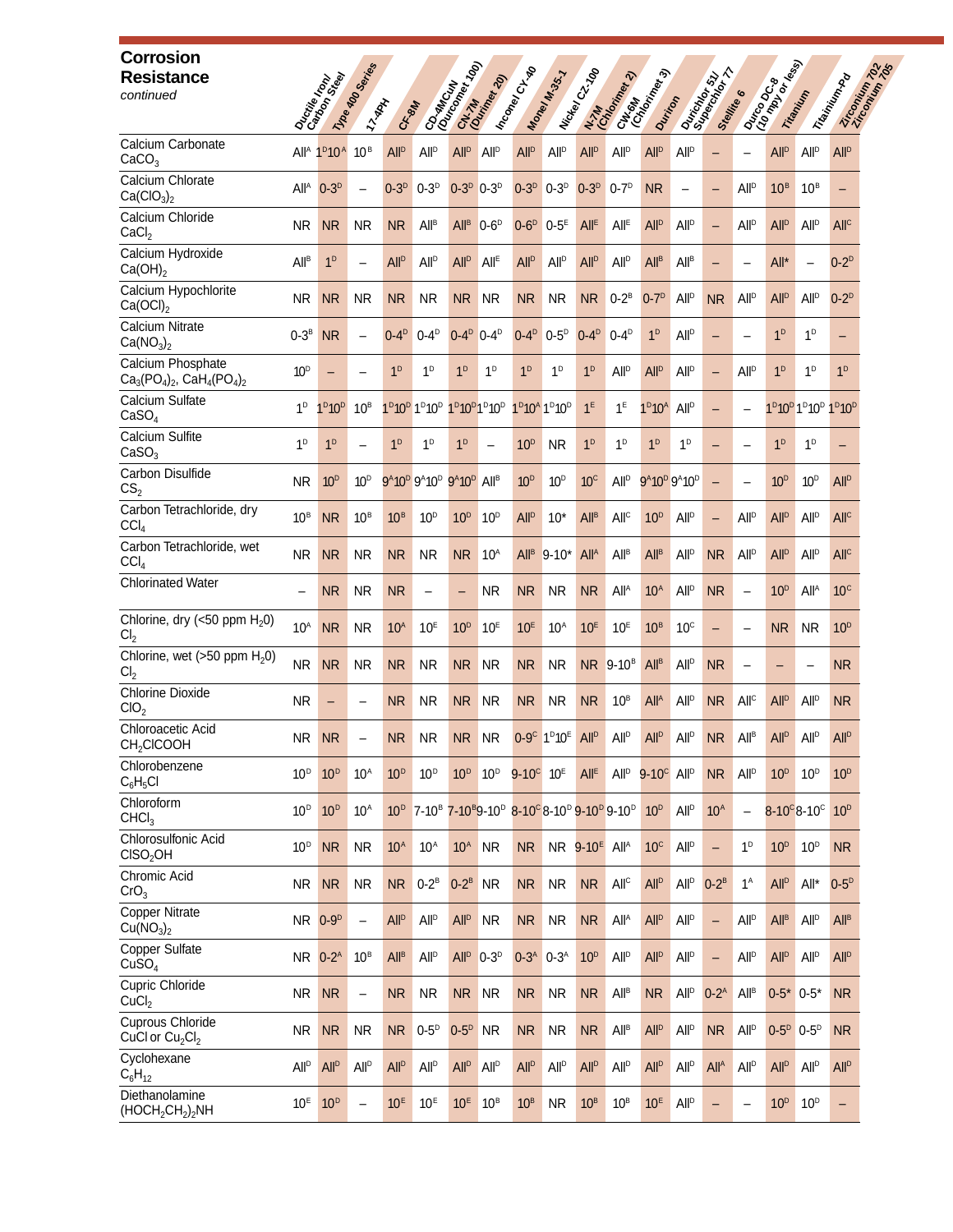| <b>Corrosion</b><br><b>Resistance</b><br>continued         |                        | Ducties on Seat                | 11/108 MD OSPITTIES<br><b>INARY</b> | C <sub>K</sub> SM      |                                                                                                               | Corantocum                                                    | City Manufacture         | I h <sub>coney</sub> chte        | Maney M.35.7                                                  | I Nickel C2.700             | CH <sub>ONAN</sub><br>Chomp<br>N.7M<br>Graphys                                                                                                | Duritor                                             |                                                               | 34<br>Ouricing 511<br>Stelling | $\bullet$                   | Dunco de las           | Trianityn                                                                                    | Trisining Pr<br>Zircomium z |
|------------------------------------------------------------|------------------------|--------------------------------|-------------------------------------|------------------------|---------------------------------------------------------------------------------------------------------------|---------------------------------------------------------------|--------------------------|----------------------------------|---------------------------------------------------------------|-----------------------------|-----------------------------------------------------------------------------------------------------------------------------------------------|-----------------------------------------------------|---------------------------------------------------------------|--------------------------------|-----------------------------|------------------------|----------------------------------------------------------------------------------------------|-----------------------------|
| Calcium Carbonate<br>CaCO <sub>3</sub>                     | All <sup>a</sup>       | 1 <sup>D</sup> 10 <sup>A</sup> | 10 <sup>B</sup>                     | <b>All<sup>p</sup></b> | <b>All<sup>D</sup></b>                                                                                        | <b>All<sup>p</sup></b>                                        | All <sup>D</sup>         | <b>All<sup>p</sup></b>           | <b>All<sup>p</sup></b>                                        | <b>All<sup>p</sup></b>      | <b>All<sup>p</sup></b>                                                                                                                        | <b>All<sup>p</sup></b>                              | <b>All</b> <sup>D</sup>                                       |                                |                             | <b>All<sup>p</sup></b> | <b>All<sup>p</sup></b>                                                                       | <b>All<sup>D</sup></b>      |
| Calcium Chlorate<br>Ca(CIO <sub>3</sub> ) <sub>2</sub>     | All <sup>A</sup>       | $0 - 3^{D}$                    |                                     | $0-3D$                 | $0-3D$                                                                                                        | $0-3D$                                                        | $0-3$ <sup>D</sup>       | $0-3D$                           | $0-3^D$                                                       | $0-3D$                      | $0 - 7^{D}$                                                                                                                                   | <b>NR</b>                                           |                                                               |                                | All <sup>D</sup>            | 10 <sup>B</sup>        | 10 <sup>B</sup>                                                                              | -                           |
| Calcium Chloride<br>CaCl <sub>2</sub>                      | NR.                    | <b>NR</b>                      | NR.                                 | N <sub>R</sub>         | <b>All<sup>B</sup></b>                                                                                        | All <sup>B</sup>                                              | $0-6$ <sup>D</sup>       | $0-6D$                           | $0-5^E$                                                       | All <sup>E</sup>            | $All^E$                                                                                                                                       | All <sup>D</sup>                                    | <b>All<sup>p</sup></b>                                        | $\overline{\phantom{0}}$       | All <sup>D</sup>            | <b>All<sup>p</sup></b> | <b>All</b> <sup>D</sup>                                                                      | All <sup>C</sup>            |
| Calcium Hydroxide<br>$Ca(OH)_2$                            | <b>All<sup>B</sup></b> | 1 <sup>D</sup>                 | $\overline{\phantom{0}}$            | <b>All<sup>p</sup></b> | <b>All<sup>p</sup></b>                                                                                        | <b>All<sup>p</sup></b>                                        | All <sup>E</sup>         | <b>All<sup>p</sup></b>           | <b>All<sup>p</sup></b>                                        | <b>All<sup>p</sup></b>      | <b>All<sup>p</sup></b>                                                                                                                        | All <sup>B</sup>                                    | All <sup>B</sup>                                              | $\overline{\phantom{0}}$       |                             | All*                   |                                                                                              | $0-2^D$                     |
| Calcium Hypochlorite<br>Ca(OCl) <sub>2</sub>               | <b>NR</b>              | <b>NR</b>                      | <b>NR</b>                           | <b>NR</b>              | <b>NR</b>                                                                                                     | N <sub>R</sub>                                                | <b>NR</b>                | <b>NR</b>                        | <b>NR</b>                                                     | <b>NR</b>                   | $0-2^B$                                                                                                                                       | $0-7D$                                              | <b>All</b> <sup>D</sup>                                       | <b>NR</b>                      | <b>All</b> <sup>D</sup>     | <b>All<sup>p</sup></b> | <b>All<sup>p</sup></b>                                                                       | $0-2^D$                     |
| Calcium Nitrate<br>Ca(NO <sub>3</sub> ) <sub>2</sub>       | $0-3^B$                | <b>NR</b>                      | $\overline{\phantom{0}}$            | $0-4^D$                | $0 - 4D$                                                                                                      | $0-4^D$                                                       | $0-4^{\circ}$            | $0-4^D$                          | $0-5^D$                                                       | $0-4^D$                     | $0 - 4^{D}$                                                                                                                                   | 1 <sup>D</sup>                                      | <b>All</b> <sup>D</sup>                                       | $\overline{\phantom{0}}$       | $\overline{\phantom{0}}$    | 1 <sup>D</sup>         | 1 <sup>D</sup>                                                                               | -                           |
| Calcium Phosphate<br>$Ca_3(PO_4)_2$ , $CaH_4(PO_4)_2$      | 10 <sup>D</sup>        |                                |                                     | 1 <sup>D</sup>         | 1 <sup>D</sup>                                                                                                | 1 <sup>D</sup>                                                | 1 <sup>D</sup>           | 1 <sup>D</sup>                   | 1 <sup>D</sup>                                                | 1 <sup>D</sup>              | <b>All<sup>p</sup></b>                                                                                                                        | <b>All<sup>p</sup></b>                              | <b>All</b> <sup>D</sup>                                       | $\qquad \qquad -$              | <b>All</b> <sup>D</sup>     | 1 <sup>D</sup>         | 1 <sup>D</sup>                                                                               | 1 <sup>D</sup>              |
| Calcium Sulfate<br>CaSO <sub>4</sub>                       | 1 <sup>D</sup>         | 1 <sup>D</sup> 10 <sup>D</sup> | 10 <sup>B</sup>                     |                        | 1 <sup>D</sup> 10 <sup>D</sup> 1 <sup>D</sup> 10 <sup>D</sup>                                                 | 1 <sup>D</sup> 10 <sup>D</sup> 1 <sup>D</sup> 10 <sup>D</sup> |                          |                                  | 1 <sup>D</sup> 10 <sup>A</sup> 1 <sup>D</sup> 10 <sup>D</sup> | 1 <sup>E</sup>              | 1 <sup>E</sup>                                                                                                                                | 1 <sup>D</sup> 10 <sup>A</sup>                      | All <sup>D</sup>                                              | $\qquad \qquad -$              |                             |                        | 1 <sup>D</sup> 10 <sup>D</sup> 1 <sup>D</sup> 10 <sup>D</sup> 1 <sup>D</sup> 10 <sup>D</sup> |                             |
| Calcium Sulfite<br>CaSO <sub>3</sub>                       | 1 <sup>D</sup>         | 1 <sup>D</sup>                 | $\overline{\phantom{0}}$            | 1 <sup>D</sup>         | 1 <sup>D</sup>                                                                                                | 1 <sup>D</sup>                                                | $\overline{\phantom{0}}$ | 10 <sup>D</sup>                  | <b>NR</b>                                                     | 1 <sup>D</sup>              | 1 <sup>D</sup>                                                                                                                                | 1 <sup>D</sup>                                      | 1 <sup>D</sup>                                                | -                              |                             | 1 <sup>D</sup>         | 1 <sup>D</sup>                                                                               | -                           |
| Carbon Disulfide<br>CS <sub>2</sub>                        | NR.                    | 10 <sup>D</sup>                | 10 <sup>D</sup>                     |                        | 9 <sup>A</sup> 10 <sup>D</sup> 9 <sup>A</sup> 10 <sup>D</sup> 9 <sup>A</sup> 10 <sup>D</sup> All <sup>B</sup> |                                                               |                          | 10 <sup>D</sup>                  | 10 <sup>D</sup>                                               | 10 <sup>c</sup>             | <b>All<sup>p</sup></b>                                                                                                                        |                                                     | 9 <sup>A</sup> 10 <sup>D</sup> 9 <sup>A</sup> 10 <sup>D</sup> | $\overline{\phantom{0}}$       |                             | 10 <sup>D</sup>        | 10 <sup>D</sup>                                                                              | <b>All</b> <sup>D</sup>     |
| Carbon Tetrachloride, dry<br>CCI <sub>4</sub>              | 10 <sup>B</sup>        | <b>NR</b>                      | 10 <sup>B</sup>                     | 10 <sup>B</sup>        | 10 <sup>D</sup>                                                                                               | 10 <sup>D</sup>                                               | 10 <sup>D</sup>          | <b>All<sup>p</sup></b>           | $10*$                                                         | All <sup>B</sup>            | All <sup>c</sup>                                                                                                                              | 10 <sup>D</sup>                                     | <b>All</b> <sup>D</sup>                                       | $\overline{\phantom{0}}$       | <b>All</b> <sup>D</sup>     | <b>All<sup>p</sup></b> | <b>All</b> <sup>D</sup>                                                                      | All <sup>C</sup>            |
| Carbon Tetrachloride, wet<br>CCI <sub>4</sub>              | NR.                    | <b>NR</b>                      | <b>NR</b>                           | <b>NR</b>              | <b>NR</b>                                                                                                     | N <sub>R</sub>                                                | 10 <sup>A</sup>          | All <sup>B</sup>                 | $9 - 10^*$                                                    | <b>All<sup>A</sup></b>      | All <sup>B</sup>                                                                                                                              | <b>All<sup>B</sup></b>                              | All <sup>p</sup>                                              | <b>NR</b>                      | All <sup>p</sup>            | <b>All<sup>p</sup></b> | All <sup>D</sup>                                                                             | <b>All<sup>c</sup></b>      |
| <b>Chlorinated Water</b>                                   |                        | <b>NR</b>                      | <b>NR</b>                           | <b>NR</b>              | —                                                                                                             | -                                                             | <b>NR</b>                | <b>NR</b>                        | <b>NR</b>                                                     | <b>NR</b>                   | All <sup>A</sup>                                                                                                                              | 10 <sup>A</sup>                                     | <b>All<sup>p</sup></b>                                        | <b>NR</b>                      | $\overline{\phantom{0}}$    | 10 <sup>D</sup>        | All <sup>A</sup>                                                                             | 10 <sup>c</sup>             |
| Chlorine, dry (<50 ppm $H_2$ 0)<br>Cl <sub>2</sub>         | 10 <sup>A</sup>        | <b>NR</b>                      | <b>NR</b>                           | 10 <sup>A</sup>        | 10 <sup>E</sup>                                                                                               | 10 <sup>D</sup>                                               | 10 <sup>E</sup>          | 10 <sup>E</sup>                  | 10 <sup>A</sup>                                               | 10 <sup>E</sup>             | 10 <sup>E</sup>                                                                                                                               | 10 <sup>B</sup>                                     | 10 <sup>c</sup>                                               | —                              |                             | <b>NR</b>              | <b>NR</b>                                                                                    | 10 <sup>D</sup>             |
| Chlorine, wet (>50 ppm $H_2$ 0)<br>Cl <sub>2</sub>         | <b>NR</b>              | <b>NR</b>                      | <b>NR</b>                           | <b>NR</b>              | <b>NR</b>                                                                                                     | N <sub>R</sub>                                                | NR.                      | <b>NR</b>                        | <b>NR</b>                                                     | NR.                         | $9-10^{B}$                                                                                                                                    | $All^B$                                             | <b>All<sup>p</sup></b>                                        | <b>NR</b>                      |                             |                        |                                                                                              | <b>NR</b>                   |
| <b>Chlorine Dioxide</b><br>ClO <sub>2</sub>                | <b>NR</b>              | ۳                              |                                     | <b>NR</b>              | <b>NR</b>                                                                                                     | N <sub>R</sub>                                                | <b>NR</b>                | N <sub>R</sub>                   | <b>NR</b>                                                     | <b>NR</b>                   | $10^{\text{B}}$                                                                                                                               | All <sup>A</sup>                                    | <b>All<sup>p</sup></b>                                        | <b>NR</b>                      | All <sup>c</sup>            | <b>All<sup>p</sup></b> | All <sup>p</sup>                                                                             | <b>NR</b>                   |
| Chloroacetic Acid<br>CH <sub>2</sub> CICOOH                | <b>NR</b>              | <b>NR</b>                      |                                     | <b>NR</b>              | <b>NR</b>                                                                                                     | <b>NR</b>                                                     | NR                       |                                  | 0-9° 1 <sup>D</sup> 10 <sup>E</sup>                           | All <sup>D</sup>            | All <sup>D</sup>                                                                                                                              | All <sup>D</sup>                                    | $AII^D$                                                       | <b>NR</b>                      | $\mathsf{All}^{\mathsf{B}}$ | All <sup>D</sup>       | All <sup>D</sup>                                                                             | All <sup>D</sup>            |
| Chlorobenzene<br>$C_6H_5Cl$                                | 10 <sup>D</sup>        | 10 <sup>D</sup>                | 10 <sup>A</sup>                     | 10 <sup>D</sup>        | 10 <sup>D</sup>                                                                                               | 10 <sup>D</sup>                                               | 10 <sup>D</sup>          | $9 - 10^{\circ}$ 10 <sup>E</sup> |                                                               | <b>All<sup>E</sup></b>      |                                                                                                                                               | All <sup>p</sup> 9-10 <sup>c</sup> All <sup>p</sup> |                                                               | <b>NR</b>                      | All <sup>D</sup>            | 10 <sup>D</sup>        | 10 <sup>D</sup>                                                                              | 10 <sup>D</sup>             |
| Chloroform<br>CHCl <sub>3</sub>                            | 10 <sup>D</sup>        | 10 <sup>D</sup>                | 10 <sup>A</sup>                     |                        |                                                                                                               |                                                               |                          |                                  |                                                               |                             | 10 <sup>D</sup> 7-10 <sup>B</sup> 7-10 <sup>B</sup> 9-10 <sup>D</sup> 8-10 <sup>C</sup> 8-10 <sup>D</sup> 9-10 <sup>D</sup> 9-10 <sup>D</sup> | 10 <sup>D</sup>                                     | All <sup>p</sup>                                              | 10 <sup>A</sup>                | $\overline{\phantom{m}}$    |                        | $8 - 10^{\circ} 8 - 10^{\circ}$                                                              | 10 <sup>D</sup>             |
| Chlorosulfonic Acid<br>CISO <sub>2</sub> OH                | 10 <sup>D</sup>        | <b>NR</b>                      | <b>NR</b>                           | 10 <sup>A</sup>        | $10^A$                                                                                                        | 10 <sup>A</sup>                                               | <b>NR</b>                | <b>NR</b>                        |                                                               | <b>NR</b> 9-10 <sup>E</sup> | <b>All</b> <sup>A</sup>                                                                                                                       | 10 <sup>c</sup>                                     | All <sup>D</sup>                                              | $\overline{\phantom{0}}$       | 1 <sup>D</sup>              | 10 <sup>D</sup>        | 10 <sup>D</sup>                                                                              | <b>NR</b>                   |
| Chromic Acid<br>CrO <sub>3</sub>                           | <b>NR</b>              | <b>NR</b>                      | <b>NR</b>                           | <b>NR</b>              | $0-2^B$                                                                                                       | $0-2^B$                                                       | <b>NR</b>                | <b>NR</b>                        | <b>NR</b>                                                     | <b>NR</b>                   | All <sup>C</sup>                                                                                                                              | <b>All<sup>p</sup></b>                              | All <sup>D</sup>                                              | $0-2^B$                        | $1^A$                       | <b>All<sup>p</sup></b> | All*                                                                                         | $0-5^D$                     |
| <b>Copper Nitrate</b><br>Cu(NO <sub>3</sub> ) <sub>2</sub> |                        | NR 0-9 <sup>D</sup>            | $\qquad \qquad -$                   | All <sup>D</sup>       | <b>All</b> <sup>D</sup>                                                                                       | <b>All<sup>D</sup></b>                                        | <b>NR</b>                | <b>NR</b>                        | <b>NR</b>                                                     | <b>NR</b>                   | All <sup>A</sup>                                                                                                                              | <b>All<sup>p</sup></b>                              | All <sup>D</sup>                                              | $\qquad \qquad -$              | All <sup>D</sup>            | All <sup>B</sup>       | <b>All</b> <sup>D</sup>                                                                      | All <sup>B</sup>            |
| Copper Sulfate<br>CuSO <sub>4</sub>                        | NR.                    | $0-2^A$                        | 10 <sup>B</sup>                     | All <sup>B</sup>       | <b>All</b> <sup>D</sup>                                                                                       | <b>All</b> <sup>D</sup>                                       | $0-3D$                   | $0-3A$                           | $0-3A$                                                        | 10 <sup>D</sup>             | All <sup>p</sup>                                                                                                                              | <b>All<sup>p</sup></b>                              | All <sup>D</sup>                                              | $\qquad \qquad -$              | <b>All</b> <sup>D</sup>     | <b>All<sup>p</sup></b> | All <sup>D</sup>                                                                             | <b>All<sup>D</sup></b>      |
| <b>Cupric Chloride</b><br>CuCl <sub>2</sub>                | <b>NR</b>              | <b>NR</b>                      | $\overline{\phantom{m}}$            | <b>NR</b>              | <b>NR</b>                                                                                                     | NR NR                                                         |                          | <b>NR</b>                        | <b>NR</b>                                                     | <b>NR</b>                   | All <sup>B</sup>                                                                                                                              | <b>NR</b>                                           | All <sup>D</sup>                                              | $0-2^A$                        | All <sup>B</sup>            | $0-5$ * $0-5$ *        |                                                                                              | <b>NR</b>                   |
| Cuprous Chloride<br>CuCl or $Cu2Cl2$                       | <b>NR</b>              | <b>NR</b>                      | <b>NR</b>                           | <b>NR</b>              | $0-5^D$                                                                                                       | $0-5^D$                                                       | <b>NR</b>                | <b>NR</b>                        | <b>NR</b>                                                     | <b>NR</b>                   | All <sup>B</sup>                                                                                                                              | <b>All<sup>p</sup></b>                              | All <sup>D</sup>                                              | <b>NR</b>                      | All <sup>D</sup>            |                        | $0 - 5^D$ $0 - 5^D$                                                                          | <b>NR</b>                   |
| Cyclohexane<br>$C_6H_{12}$                                 | <b>All<sup>D</sup></b> | <b>All<sup>p</sup></b>         | All <sup>p</sup>                    | All <sup>D</sup>       | <b>All</b> <sup>D</sup>                                                                                       | <b>All<sup>D</sup></b>                                        | <b>All</b> <sup>D</sup>  | <b>All<sup>p</sup></b>           | All <sup>D</sup>                                              | <b>All<sup>p</sup></b>      | All <sup>p</sup>                                                                                                                              | <b>All<sup>p</sup></b>                              | All <sup>D</sup>                                              | All <sup>A</sup>               | <b>All</b> <sup>D</sup>     | <b>All<sup>p</sup></b> | <b>All</b> <sup>D</sup>                                                                      | <b>All<sup>D</sup></b>      |
| Diethanolamine<br>$(HOCH2CH2)2NH$                          | $10^E$                 | 10 <sup>D</sup>                |                                     | 10 <sup>E</sup>        | 10 <sup>E</sup>                                                                                               | 10 <sup>E</sup>                                               | 10 <sup>B</sup>          | 10 <sup>B</sup>                  | <b>NR</b>                                                     | 10 <sup>B</sup>             | $10^B$                                                                                                                                        | 10 <sup>E</sup>                                     | All <sup>D</sup>                                              | $\qquad \qquad -$              |                             | 10 <sup>D</sup>        | 10 <sup>D</sup>                                                                              | -                           |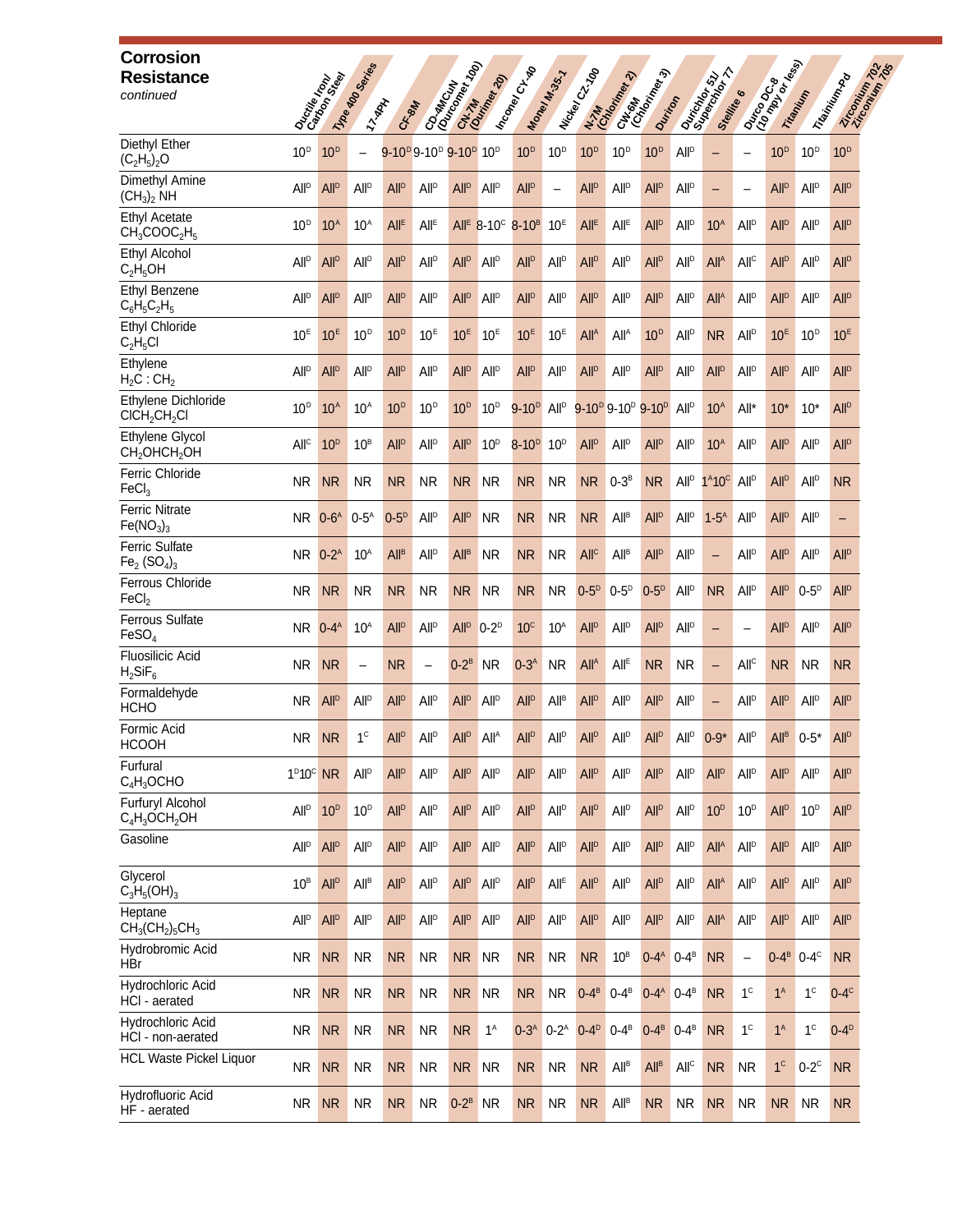| <b>Corrosion</b><br><b>Resistance</b><br>continued          |                        | Ducties on Seat         | 11/108 MD DBorres<br><b>TYRAN</b> | C.K. BIN               |                                                                       | Construction Tap        | City Million            | I heaven CH-                                         | Maney M.35.7                | I Nickel C2.700        | CH <sub>ONAN</sub><br>CHOMA<br>N. M. Maria Rev. 2)    | Dunton                                |                         | <b>BA</b><br>Ouricity 511<br>Stelling | $\bullet$                | Danco drawn            | Titanitin               | Trieminium Pa<br>Zircomium 7 |
|-------------------------------------------------------------|------------------------|-------------------------|-----------------------------------|------------------------|-----------------------------------------------------------------------|-------------------------|-------------------------|------------------------------------------------------|-----------------------------|------------------------|-------------------------------------------------------|---------------------------------------|-------------------------|---------------------------------------|--------------------------|------------------------|-------------------------|------------------------------|
| Diethyl Ether<br>$(C_2H_5)_2O$                              | 10 <sup>D</sup>        | 10 <sup>D</sup>         | $\overline{\phantom{0}}$          |                        | 9-10 <sup>p</sup> 9-10 <sup>p</sup> 9-10 <sup>p</sup> 10 <sup>p</sup> |                         |                         | 10 <sup>D</sup>                                      | 10 <sup>D</sup>             | 10 <sup>D</sup>        | 10 <sup>D</sup>                                       | 10 <sup>D</sup>                       | All <sup>D</sup>        |                                       |                          | 10 <sup>D</sup>        | 10 <sup>D</sup>         | 10 <sup>D</sup>              |
| Dimethyl Amine<br>(CH <sub>3</sub> ) <sub>2</sub> NH        | <b>All<sup>D</sup></b> | <b>All<sup>p</sup></b>  | All <sup>p</sup>                  | All <sup>D</sup>       | <b>All</b> <sup>D</sup>                                               | <b>All<sup>p</sup></b>  | <b>All</b> <sup>D</sup> | <b>All<sup>p</sup></b>                               | $\qquad \qquad -$           | <b>All<sup>p</sup></b> | All <sup>p</sup>                                      | <b>All<sup>p</sup></b>                | All <sup>D</sup>        | $\qquad \qquad -$                     |                          | <b>All<sup>p</sup></b> | <b>All</b> <sup>D</sup> | <b>All<sup>D</sup></b>       |
| <b>Ethyl Acetate</b><br>$CH_3COOC_2H_5$                     | 10 <sup>D</sup>        | 10 <sup>A</sup>         | $10^A$                            | All <sup>E</sup>       | All <sup>E</sup>                                                      |                         |                         | All <sup>E</sup> 8-10 <sup>c</sup> 8-10 <sup>B</sup> | 10 <sup>E</sup>             | <b>All<sup>E</sup></b> | All <sup>E</sup>                                      | <b>All<sup>p</sup></b>                | All <sup>D</sup>        | 10 <sup>A</sup>                       | <b>All</b> <sup>D</sup>  | <b>All<sup>p</sup></b> | All <sup>p</sup>        | <b>All<sup>D</sup></b>       |
| Ethyl Alcohol<br>$C_2H_5OH$                                 | <b>All<sup>D</sup></b> | All <sup>D</sup>        | <b>All<sup>p</sup></b>            | All <sup>D</sup>       | <b>All<sup>p</sup></b>                                                | <b>All<sup>p</sup></b>  | <b>All</b> <sup>D</sup> | <b>All<sup>p</sup></b>                               | <b>All<sup>p</sup></b>      | <b>All<sup>p</sup></b> | All <sup>D</sup>                                      | <b>All<sup>p</sup></b>                | All <sup>D</sup>        | All <sup>A</sup>                      | All <sup>c</sup>         | <b>All<sup>p</sup></b> | <b>All</b> <sup>D</sup> | <b>All<sup>D</sup></b>       |
| Ethyl Benzene<br>$C_6H_5C_2H_5$                             | <b>All<sup>D</sup></b> | <b>All</b> <sup>D</sup> | All <sup>p</sup>                  | <b>All<sup>D</sup></b> | <b>All<sup>D</sup></b>                                                | <b>All<sup>p</sup></b>  | <b>All</b> <sup>D</sup> | <b>All<sup>p</sup></b>                               | <b>All<sup>p</sup></b>      | <b>All<sup>p</sup></b> | All <sup>p</sup>                                      | <b>All<sup>p</sup></b>                | All <sup>D</sup>        | All <sup>A</sup>                      | <b>All</b> <sup>D</sup>  | <b>All<sup>p</sup></b> | <b>All</b> <sup>D</sup> | <b>All<sup>D</sup></b>       |
| <b>Ethyl Chloride</b><br>$C_2H_5Cl$                         | 10 <sup>E</sup>        | 10 <sup>E</sup>         | 10 <sup>D</sup>                   | 10 <sup>D</sup>        | 10 <sup>E</sup>                                                       | 10 <sup>E</sup>         | 10 <sup>E</sup>         | 10 <sup>E</sup>                                      | 10 <sup>E</sup>             | All <sup>A</sup>       | All <sup>A</sup>                                      | 10 <sup>D</sup>                       | All <sup>D</sup>        | <b>NR</b>                             | All <sup>D</sup>         | 10 <sup>E</sup>        | 10 <sup>D</sup>         | 10 <sup>E</sup>              |
| Ethylene<br>$H_2C$ : $CH_2$                                 | <b>All<sup>D</sup></b> | <b>All<sup>p</sup></b>  | All <sup>p</sup>                  | <b>All<sup>D</sup></b> | <b>All<sup>D</sup></b>                                                | <b>All<sup>p</sup></b>  | <b>All</b> <sup>D</sup> | <b>All<sup>p</sup></b>                               | <b>All</b> <sup>D</sup>     | <b>All<sup>p</sup></b> | All <sup>D</sup>                                      | <b>All<sup>p</sup></b>                | All <sup>D</sup>        | <b>All<sup>p</sup></b>                | <b>All</b> <sup>D</sup>  | <b>All<sup>p</sup></b> | <b>All<sup>p</sup></b>  | <b>All<sup>D</sup></b>       |
| Ethylene Dichloride<br>CICH <sub>2</sub> CH <sub>2</sub> Cl | 10 <sup>D</sup>        | 10 <sup>A</sup>         | 10 <sup>A</sup>                   | 10 <sup>D</sup>        | 10 <sup>D</sup>                                                       | 10 <sup>D</sup>         | 10 <sup>D</sup>         | $9 - 10^{D}$                                         | All <sup>D</sup>            |                        | 9-10 <sup>p</sup> 9-10 <sup>p</sup> 9-10 <sup>p</sup> |                                       | All <sup>D</sup>        | 10 <sup>A</sup>                       | All*                     | $10*$                  | $10*$                   | <b>All</b> <sup>D</sup>      |
| Ethylene Glycol<br>СН,ОНСН,ОН                               | All <sup>c</sup>       | 10 <sup>D</sup>         | 10 <sup>B</sup>                   | All <sup>D</sup>       | <b>All<sup>D</sup></b>                                                | <b>All<sup>p</sup></b>  | 10 <sup>D</sup>         | $8-10D$                                              | 10 <sup>D</sup>             | <b>All<sup>p</sup></b> | All <sup>p</sup>                                      | <b>All<sup>p</sup></b>                | All <sup>D</sup>        | 10 <sup>A</sup>                       | <b>All</b> <sup>D</sup>  | <b>All<sup>p</sup></b> | All <sup>D</sup>        | <b>All<sup>D</sup></b>       |
| Ferric Chloride<br>FeCl <sub>3</sub>                        | NR.                    | <b>NR</b>               | NR.                               | <b>NR</b>              | <b>NR</b>                                                             | NR.                     | <b>NR</b>               | NR.                                                  | <b>NR</b>                   | <b>NR</b>              | $0-3^B$                                               | <b>NR</b>                             | All <sup>D</sup>        | $1^A 10^C$                            | All <sup>D</sup>         | <b>All<sup>p</sup></b> | All <sup>D</sup>        | <b>NR</b>                    |
| <b>Ferric Nitrate</b><br>Fe(NO <sub>3</sub> ) <sub>3</sub>  | <b>NR</b>              | $0-6A$                  | $0-5^A$                           | $0-5D$                 | <b>All</b> <sup>D</sup>                                               | All <sup>D</sup>        | <b>NR</b>               | <b>NR</b>                                            | <b>NR</b>                   | <b>NR</b>              | <b>All<sup>B</sup></b>                                | <b>All<sup>p</sup></b>                | <b>All</b> <sup>D</sup> | $1-5^A$                               | <b>All</b> <sup>D</sup>  | <b>All<sup>p</sup></b> | All <sup>p</sup>        | -                            |
| <b>Ferric Sulfate</b><br>$Fe2 (SO4)3$                       | <b>NR</b>              | $0-2^A$                 | 10 <sup>A</sup>                   | <b>All<sup>B</sup></b> | <b>All</b> <sup>D</sup>                                               | <b>All<sup>B</sup></b>  | <b>NR</b>               | <b>NR</b>                                            | <b>NR</b>                   | <b>All<sup>c</sup></b> | All <sup>B</sup>                                      | <b>All<sup>p</sup></b>                | All <sup>D</sup>        | $\overline{\phantom{0}}$              | All <sup>p</sup>         | <b>All<sup>p</sup></b> | All <sup>p</sup>        | <b>All</b> <sup>D</sup>      |
| Ferrous Chloride<br>FeCl <sub>2</sub>                       | NR.                    | <b>NR</b>               | <b>NR</b>                         | <b>NR</b>              | <b>NR</b>                                                             | NR.                     | <b>NR</b>               | <b>NR</b>                                            | <b>NR</b>                   | $0-5D$                 | $0-5D$                                                | $0-5^{\circ}$                         | <b>All</b> <sup>D</sup> | <b>NR</b>                             | All <sup>D</sup>         | <b>All<sup>p</sup></b> | $0-5^{\circ}$           | <b>All<sup>D</sup></b>       |
| <b>Ferrous Sulfate</b><br>FeSO <sub>4</sub>                 | <b>NR</b>              | $0-4A$                  | 10 <sup>A</sup>                   | All <sup>D</sup>       | <b>All</b> <sup>D</sup>                                               | <b>All<sup>p</sup></b>  | $0-2$ <sup>D</sup>      | 10 <sup>c</sup>                                      | 10 <sup>A</sup>             | <b>All<sup>p</sup></b> | <b>All<sup>p</sup></b>                                | <b>All<sup>p</sup></b>                | <b>All</b> <sup>D</sup> | $\overline{\phantom{0}}$              |                          | <b>All<sup>p</sup></b> | All <sup>p</sup>        | <b>All<sup>D</sup></b>       |
| <b>Fluosilicic Acid</b><br>$H_2$ SiF <sub>6</sub>           | <b>NR</b>              | <b>NR</b>               | $\overline{\phantom{0}}$          | <b>NR</b>              | $\qquad \qquad -$                                                     | $0-2^B$                 | <b>NR</b>               | $0 - 3A$                                             | <b>NR</b>                   | All <sup>A</sup>       | $All^E$                                               | <b>NR</b>                             | <b>NR</b>               | $\qquad \qquad -$                     | All <sup>c</sup>         | <b>NR</b>              | <b>NR</b>               | <b>NR</b>                    |
| Formaldehyde<br><b>HCHO</b>                                 | NR.                    | <b>All</b> <sup>D</sup> | <b>All<sup>p</sup></b>            | <b>All<sup>D</sup></b> | <b>All<sup>D</sup></b>                                                | <b>All<sup>p</sup></b>  | <b>All</b> <sup>D</sup> | <b>All<sup>p</sup></b>                               | All <sup>B</sup>            | <b>All<sup>p</sup></b> | All <sup>D</sup>                                      | <b>All<sup>p</sup></b>                | All <sup>D</sup>        | $\overline{\phantom{0}}$              | All <sup>D</sup>         | <b>All<sup>p</sup></b> | All <sup>p</sup>        | <b>All<sup>D</sup></b>       |
| Formic Acid<br><b>HCOOH</b>                                 | <b>NR</b>              | <b>NR</b>               | $1^{\circ}$                       | <b>All<sup>D</sup></b> | All <sup>D</sup>                                                      | <b>All</b> <sup>D</sup> | All <sup>A</sup>        | All <sup>D</sup>                                     | $\mathsf{All}^{\mathsf{D}}$ | All <sup>D</sup>       | $\mathsf{All}^{\mathsf{D}}$                           | <b>All<sup>D</sup></b>                | $AllD 0-9*$             |                                       | <b>All</b> <sup>D</sup>  | $All^B$                | $0 - 5*$                | All <sup>D</sup>             |
| Furfural<br>$C_4H_3OCHO$                                    | $1^D10^C$ NR           |                         | All <sup>p</sup>                  | All <sup>D</sup>       | <b>All</b> <sup>D</sup>                                               | <b>All<sup>p</sup></b>  | <b>All</b> <sup>D</sup> | <b>All<sup>p</sup></b>                               | <b>All<sup>p</sup></b>      | <b>All<sup>p</sup></b> | All <sup>D</sup>                                      | <b>All<sup>p</sup></b>                | All <sup>D</sup>        | <b>All<sup>p</sup></b>                | <b>All</b> <sup>D</sup>  | <b>All<sup>p</sup></b> | All <sup>D</sup>        | <b>All<sup>D</sup></b>       |
| Furfuryl Alcohol<br>$C_4H_3OCH_2OH$                         | All <sup>D</sup>       | 10 <sup>D</sup>         | $10^{D}$                          | <b>All<sup>p</sup></b> | All <sup>p</sup>                                                      | <b>All<sup>p</sup></b>  | <b>All</b> <sup>D</sup> | All <sup>D</sup>                                     | All <sup>p</sup>            | <b>All<sup>p</sup></b> | All <sup>p</sup>                                      | <b>All<sup>p</sup></b>                | All <sup>p</sup>        | 10 <sup>D</sup>                       | 10 <sup>D</sup>          | <b>All<sup>p</sup></b> | 10 <sup>D</sup>         | <b>All<sup>p</sup></b>       |
| Gasoline                                                    | All <sup>D</sup>       | <b>All<sup>p</sup></b>  | All <sup>p</sup>                  | <b>All<sup>D</sup></b> | <b>All<sup>D</sup></b>                                                | <b>All<sup>p</sup></b>  | <b>All</b> <sup>D</sup> | <b>All<sup>p</sup></b>                               | <b>All<sup>p</sup></b>      | <b>All<sup>p</sup></b> | All <sup>D</sup>                                      | <b>All<sup>p</sup></b>                | $AllD$                  | <b>All<sup>A</sup></b>                | <b>All</b> <sup>D</sup>  | <b>All<sup>p</sup></b> | <b>All</b> <sup>D</sup> | <b>All<sup>D</sup></b>       |
| Glycerol<br>$C_3H_5(OH)_3$                                  | 10 <sup>B</sup>        | <b>All</b> <sup>D</sup> | All <sup>B</sup>                  | All <sup>D</sup>       | All <sup>D</sup>                                                      | <b>All<sup>p</sup></b>  | <b>All</b> <sup>D</sup> | <b>All<sup>p</sup></b>                               | $All^E$                     | <b>All<sup>p</sup></b> | All <sup>D</sup>                                      | <b>All<sup>p</sup></b>                | $AllD$                  | <b>All<sup>A</sup></b>                | <b>All</b> <sup>D</sup>  | <b>All<sup>p</sup></b> | All <sup>p</sup>        | <b>All<sup>D</sup></b>       |
| Heptane<br>$CH_3(CH_2)_5CH_3$                               | <b>All<sup>p</sup></b> | <b>All</b> <sup>D</sup> | All <sup>p</sup>                  | <b>All<sup>D</sup></b> | <b>All</b> <sup>D</sup>                                               | <b>All<sup>p</sup></b>  | <b>All</b> <sup>D</sup> | <b>All<sup>p</sup></b>                               | All <sup>D</sup>            | <b>All<sup>p</sup></b> | All <sup>p</sup>                                      | <b>All<sup>p</sup></b>                | All <sup>D</sup>        | All <sup>A</sup>                      | <b>All</b> <sup>D</sup>  | <b>All<sup>p</sup></b> | <b>All</b> <sup>D</sup> | All <sup>D</sup>             |
| Hydrobromic Acid<br>HBr                                     | <b>NR</b>              | <b>NR</b>               | <b>NR</b>                         | <b>NR</b>              | <b>NR</b>                                                             | NR NR                   |                         | <b>NR</b>                                            | <b>NR</b>                   | <b>NR</b>              | $10^B$                                                | $0-4^{A}$ $0-4^{B}$                   |                         | <b>NR</b>                             | $\overline{\phantom{0}}$ |                        | $0 - 4^B$ $0 - 4^C$     | <b>NR</b>                    |
| Hydrochloric Acid<br>HCI - aerated                          | <b>NR</b>              | <b>NR</b>               | <b>NR</b>                         | <b>NR</b>              | <b>NR</b>                                                             | NR                      | <b>NR</b>               | <b>NR</b>                                            | <b>NR</b>                   | $0-4^B$                | $0-4^B$                                               | $0 - 4^{\mathsf{A}}$ 0-4 <sup>B</sup> |                         | <b>NR</b>                             | 1 <sup>c</sup>           | 1 <sup>A</sup>         | 1 <sup>c</sup>          | $0-4$ <sup>c</sup>           |
| Hydrochloric Acid<br>HCI - non-aerated                      | <b>NR</b>              | <b>NR</b>               | <b>NR</b>                         | <b>NR</b>              | <b>NR</b>                                                             | <b>NR</b>               | $1^A$                   | $0-3A$                                               | $0-2^A$                     | $0-4^D$                | $0 - 4^B$                                             | $0 - 4^B$ $0 - 4^B$                   |                         | <b>NR</b>                             | 1 <sup>c</sup>           | 1 <sup>A</sup>         | $1^{\circ}$             | $0-4^D$                      |
| HCL Waste Pickel Liquor                                     | <b>NR</b>              | <b>NR</b>               | <b>NR</b>                         | <b>NR</b>              | <b>NR</b>                                                             | NR NR                   |                         | <b>NR</b>                                            | <b>NR</b>                   | <b>NR</b>              | All <sup>B</sup>                                      | All <sup>B</sup>                      | All <sup>C</sup>        | <b>NR</b>                             | <b>NR</b>                | 1 <sup>c</sup>         | $0-2$ <sup>c</sup>      | <b>NR</b>                    |
| Hydrofluoric Acid<br>HF - aerated                           | <b>NR</b>              | <b>NR</b>               | <b>NR</b>                         | <b>NR</b>              | <b>NR</b>                                                             | $0-2^B$ NR              |                         | <b>NR</b>                                            | <b>NR</b>                   | <b>NR</b>              | $All^B$                                               | <b>NR</b>                             | <b>NR</b>               | NR                                    | <b>NR</b>                | NR                     | <b>NR</b>               | <b>NR</b>                    |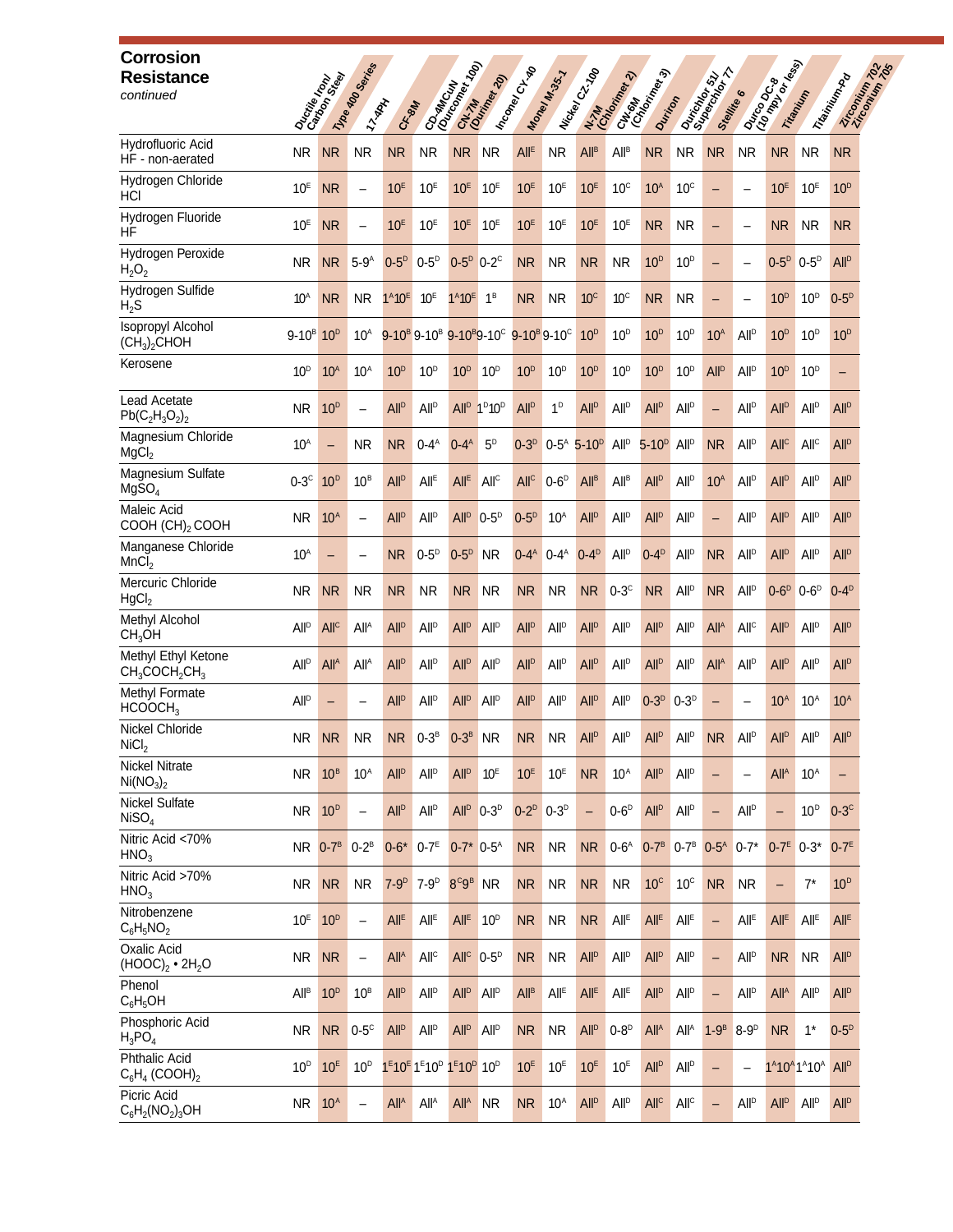| <b>Corrosion</b><br><b>Resistance</b><br>continued               |                        | Dactine Realty             | 11/108 400 Services<br><b>TARAL</b> | CAS MAY                           |                                                                                                              | Corwing Terms                | CN-7M                                                                                                       | I h <sub>coney</sub> chte | Maney M.35.7            | I Nickel C2.700          | CHISMA<br>CHORAL Rev.3<br>N. M. Maria Rev. 2) | Dunton                 |                         | <b>SA</b><br>Ouricity 511<br>Stellite 6 |                          | Danco drawing          | Titanium                                                                       | Triewinton Pa<br>Zircomium 7 |
|------------------------------------------------------------------|------------------------|----------------------------|-------------------------------------|-----------------------------------|--------------------------------------------------------------------------------------------------------------|------------------------------|-------------------------------------------------------------------------------------------------------------|---------------------------|-------------------------|--------------------------|-----------------------------------------------|------------------------|-------------------------|-----------------------------------------|--------------------------|------------------------|--------------------------------------------------------------------------------|------------------------------|
| Hydrofluoric Acid<br>HF - non-aerated                            | <b>NR</b>              | <b>NR</b>                  | <b>NR</b>                           | <b>NR</b>                         | <b>NR</b>                                                                                                    | <b>NR</b>                    | <b>NR</b>                                                                                                   | <b>All<sup>E</sup></b>    | <b>NR</b>               | <b>All<sup>B</sup></b>   | <b>All<sup>B</sup></b>                        | <b>NR</b>              | <b>NR</b>               | <b>NR</b>                               | <b>NR</b>                | <b>NR</b>              | <b>NR</b>                                                                      | <b>NR</b>                    |
| Hydrogen Chloride<br>HCI                                         | 10 <sup>E</sup>        | <b>NR</b>                  | $\overline{\phantom{0}}$            | 10 <sup>E</sup>                   | 10 <sup>E</sup>                                                                                              | 10 <sup>E</sup>              | 10 <sup>E</sup>                                                                                             | 10 <sup>E</sup>           | 10 <sup>E</sup>         | 10 <sup>E</sup>          | $10^{\circ}$                                  | 10 <sup>A</sup>        | $10^{\circ}$            | $\overline{\phantom{0}}$                |                          | 10 <sup>E</sup>        | 10 <sup>E</sup>                                                                | 10 <sup>D</sup>              |
| Hydrogen Fluoride<br><b>HF</b>                                   | 10 <sup>E</sup>        | <b>NR</b>                  |                                     | 10 <sup>E</sup>                   | 10 <sup>E</sup>                                                                                              | 10 <sup>E</sup>              | 10 <sup>E</sup>                                                                                             | 10 <sup>E</sup>           | 10 <sup>E</sup>         | 10 <sup>E</sup>          | 10 <sup>E</sup>                               | <b>NR</b>              | <b>NR</b>               | $\qquad \qquad -$                       | $\overline{\phantom{0}}$ | <b>NR</b>              | <b>NR</b>                                                                      | <b>NR</b>                    |
| Hydrogen Peroxide<br>$H_2O_2$                                    | NR.                    | <b>NR</b>                  | $5-9A$                              | $0-5^D$                           | $0-5^D$                                                                                                      | $0-5^p$                      | $0-2$ <sup>c</sup>                                                                                          | <b>NR</b>                 | <b>NR</b>               | <b>NR</b>                | <b>NR</b>                                     | 10 <sup>D</sup>        | 10 <sup>D</sup>         | $\qquad \qquad -$                       |                          | $0-5^D$ $0-5^D$        |                                                                                | <b>All<sup>D</sup></b>       |
| Hydrogen Sulfide<br>$H_2S$                                       | 10 <sup>A</sup>        | <b>NR</b>                  | <b>NR</b>                           | $1^A 10^E$                        | 10 <sup>E</sup>                                                                                              | $1^{A}10^{E}$ 1 <sup>B</sup> |                                                                                                             | <b>NR</b>                 | <b>NR</b>               | 10 <sup>c</sup>          | 10 <sup>c</sup>                               | <b>NR</b>              | <b>NR</b>               | $\qquad \qquad -$                       |                          | 10 <sup>D</sup>        | 10 <sup>D</sup>                                                                | $0-5D$                       |
| <b>Isopropyl Alcohol</b><br>(CH <sub>3</sub> ) <sub>2</sub> CHOH | $9 - 10^{B}$           | 10 <sup>D</sup>            | $10^A$                              |                                   |                                                                                                              |                              | 9-10 <sup>B</sup> 9-10 <sup>B</sup> 9-10 <sup>B</sup> 9-10 <sup>C</sup> 9-10 <sup>B</sup> 9-10 <sup>C</sup> |                           |                         | 10 <sup>D</sup>          | 10 <sup>D</sup>                               | 10 <sup>D</sup>        | 10 <sup>D</sup>         | 10 <sup>A</sup>                         | <b>All</b> <sup>D</sup>  | 10 <sup>D</sup>        | 10 <sup>D</sup>                                                                | 10 <sup>D</sup>              |
| Kerosene                                                         | 10 <sup>D</sup>        | 10 <sup>A</sup>            | 10 <sup>A</sup>                     | 10 <sup>D</sup>                   | 10 <sup>D</sup>                                                                                              | 10 <sup>D</sup>              | 10 <sup>D</sup>                                                                                             | 10 <sup>D</sup>           | 10 <sup>D</sup>         | 10 <sup>D</sup>          | 10 <sup>D</sup>                               | 10 <sup>D</sup>        | $10^{\rm D}$            | <b>All<sup>p</sup></b>                  | <b>All</b> <sup>D</sup>  | 10 <sup>D</sup>        | 10 <sup>D</sup>                                                                | -                            |
| Lead Acetate<br>$Pb(C_2H_3O_2)_2$                                | NR.                    | 10 <sup>D</sup>            | $\overline{\phantom{0}}$            | <b>All<sup>D</sup></b>            | <b>All<sup>p</sup></b>                                                                                       | <b>All</b> <sup>D</sup>      | 1 <sup>D</sup> 10 <sup>D</sup>                                                                              | <b>All<sup>p</sup></b>    | $1^D$                   | <b>All<sup>p</sup></b>   | <b>All<sup>p</sup></b>                        | <b>All<sup>p</sup></b> | All <sup>D</sup>        | $\overline{\phantom{0}}$                | All <sup>D</sup>         | <b>All<sup>p</sup></b> | <b>All<sup>p</sup></b>                                                         | <b>All<sup>D</sup></b>       |
| Magnesium Chloride<br>MgCl <sub>2</sub>                          | 10 <sup>A</sup>        | $\overline{\phantom{0}}$   | <b>NR</b>                           | <b>NR</b>                         | $0-4^A$                                                                                                      | $0-4^A$                      | 5 <sup>D</sup>                                                                                              | $0-3D$                    | $0-5^A$                 | $5-10D$                  | All <sup>D</sup>                              | $5 - 10^{D}$           | All <sup>D</sup>        | <b>NR</b>                               | <b>All</b> <sup>D</sup>  | All <sup>c</sup>       | All <sup>C</sup>                                                               | <b>All<sup>D</sup></b>       |
| Magnesium Sulfate<br>MgSO <sub>4</sub>                           | $0-3$ <sup>c</sup>     | 10 <sup>D</sup>            | $10^B$                              | <b>All<sup>D</sup></b>            | All <sup>E</sup>                                                                                             | All <sup>E</sup>             | All <sup>c</sup>                                                                                            | All <sup>c</sup>          | $0-6^D$                 | All <sup>B</sup>         | All <sup>B</sup>                              | <b>All<sup>p</sup></b> | <b>All</b> <sup>D</sup> | 10 <sup>A</sup>                         | <b>All</b> <sup>D</sup>  | <b>All<sup>p</sup></b> | All <sup>D</sup>                                                               | <b>All<sup>D</sup></b>       |
| Maleic Acid<br>COOH (CH) <sub>2</sub> COOH                       | NR.                    | 10 <sup>A</sup>            | $\qquad \qquad -$                   | <b>All<sup>D</sup></b>            | <b>All<sup>D</sup></b>                                                                                       | <b>All<sup>p</sup></b>       | $0-5$ <sup>D</sup>                                                                                          | $0-5^{\circ}$             | 10 <sup>A</sup>         | <b>All<sup>p</sup></b>   | <b>All<sup>p</sup></b>                        | <b>All<sup>D</sup></b> | <b>All</b> <sup>D</sup> | $\overline{\phantom{0}}$                | <b>All</b> <sup>D</sup>  | <b>All<sup>p</sup></b> | <b>All</b> <sup>D</sup>                                                        | <b>All<sup>D</sup></b>       |
| Manganese Chloride<br>MnCl <sub>2</sub>                          | 10 <sup>A</sup>        |                            |                                     | <b>NR</b>                         | $0-5^{\circ}$                                                                                                | $0-5D$                       | <b>NR</b>                                                                                                   | $0-4^A$                   | $0-4^A$                 | $0-4$ <sup>D</sup>       | All <sup>p</sup>                              | $0-4$ <sup>D</sup>     | All <sup>D</sup>        | <b>NR</b>                               | All <sup>p</sup>         | <b>All<sup>p</sup></b> | All <sup>p</sup>                                                               | <b>All<sup>p</sup></b>       |
| Mercuric Chloride<br>HgCl <sub>2</sub>                           | NR.                    | <b>NR</b>                  | <b>NR</b>                           | <b>NR</b>                         | <b>NR</b>                                                                                                    | N <sub>R</sub>               | <b>NR</b>                                                                                                   | <b>NR</b>                 | <b>NR</b>               | <b>NR</b>                | $0-3$ <sup>c</sup>                            | <b>NR</b>              | <b>All</b> <sup>D</sup> | <b>NR</b>                               | All <sup>D</sup>         | $0-6D$                 | $0-6$ <sup>D</sup>                                                             | $0-4^D$                      |
| Methyl Alcohol<br>CH <sub>3</sub> OH                             | <b>All<sup>p</sup></b> | <b>All<sup>c</sup></b>     | All <sup>A</sup>                    | <b>All<sup>D</sup></b>            | <b>All<sup>D</sup></b>                                                                                       | <b>All<sup>p</sup></b>       | <b>All</b> <sup>D</sup>                                                                                     | <b>All<sup>p</sup></b>    | <b>All</b> <sup>D</sup> | <b>All<sup>p</sup></b>   | <b>All<sup>p</sup></b>                        | <b>All<sup>p</sup></b> | <b>All<sup>p</sup></b>  | <b>All<sup>A</sup></b>                  | All <sup>c</sup>         | <b>All<sup>p</sup></b> | All <sup>p</sup>                                                               | <b>All<sup>D</sup></b>       |
| Methyl Ethyl Ketone<br>$CH_3COCH_2CH_3$                          | <b>All<sup>p</sup></b> | All <sup>A</sup>           | All <sup>A</sup>                    | <b>All<sup>D</sup></b>            | <b>All<sup>D</sup></b>                                                                                       | <b>All<sup>p</sup></b>       | <b>All</b> <sup>D</sup>                                                                                     | <b>All<sup>p</sup></b>    | <b>All<sup>p</sup></b>  | <b>All<sup>p</sup></b>   | <b>All</b> <sup>D</sup>                       | <b>All<sup>p</sup></b> | <b>All</b> <sup>D</sup> | <b>All<sup>A</sup></b>                  | <b>All</b> <sup>D</sup>  | <b>All<sup>p</sup></b> | All <sup>D</sup>                                                               | <b>All<sup>D</sup></b>       |
| Methyl Formate<br>HCOOCH <sub>3</sub>                            | <b>All<sup>p</sup></b> |                            |                                     | <b>All<sup>D</sup></b>            | <b>All<sup>D</sup></b>                                                                                       | <b>All<sup>p</sup></b>       | <b>All</b> <sup>D</sup>                                                                                     | <b>All<sup>p</sup></b>    | All <sup>D</sup>        | <b>All<sup>p</sup></b>   | All <sup>D</sup>                              | $0-3D$                 | $0-3D$                  |                                         |                          | 10 <sup>A</sup>        | $10^A$                                                                         | 10 <sup>A</sup>              |
| Nickel Chloride<br>NiCl <sub>2</sub>                             | <b>NR</b>              | <b>NR</b>                  | <b>NR</b>                           | NR                                | $0-3^B$                                                                                                      | $0-3^B$                      | <b>NR</b>                                                                                                   | <b>NR</b>                 | <b>NR</b>               | All <sup>D</sup>         | All <sup>D</sup>                              | All <sup>D</sup>       | All <sup>D</sup>        | NR                                      | AII <sup>D</sup>         | All <sup>D</sup>       | All <sup>D</sup>                                                               | <b>All<sup>D</sup></b>       |
| <b>Nickel Nitrate</b><br>Ni(NO <sub>3</sub> ) <sub>2</sub>       | NR.                    | 10 <sup>B</sup>            | 10 <sup>A</sup>                     | All <sup>D</sup>                  | <b>All</b> <sup>D</sup>                                                                                      | <b>All<sup>p</sup></b>       | 10 <sup>E</sup>                                                                                             | 10 <sup>E</sup>           | 10 <sup>E</sup>         | <b>NR</b>                | 10 <sup>A</sup>                               | <b>All<sup>p</sup></b> | <b>All</b> <sup>D</sup> | $\overline{\phantom{0}}$                | $\qquad \qquad -$        | All <sup>A</sup>       | 10 <sup>A</sup>                                                                | -                            |
| Nickel Sulfate<br>NISO <sub>4</sub>                              | <b>NR</b>              | 10 <sup>D</sup>            | $\overline{\phantom{m}}$            | <b>All<sup>p</sup></b>            | All <sup>D</sup>                                                                                             |                              | All <sup>p</sup> 0-3 <sup>D</sup>                                                                           | $0-2^D$ $0-3^D$           |                         | $\overline{\phantom{0}}$ | $0-6D$                                        | <b>All<sup>p</sup></b> | All <sup>D</sup>        | $\qquad \qquad -$                       | All <sup>D</sup>         | $\qquad \qquad -$      | 10 <sup>D</sup>                                                                | $0-3$ <sup>c</sup>           |
| Nitric Acid <70%<br>HNO <sub>3</sub>                             |                        | <b>NR</b> 0-7 <sup>B</sup> | $0-2^B$                             | $0-6$ * $0-7$ <sup>E</sup>        |                                                                                                              | $0-7*0-5^{A}$                |                                                                                                             | <b>NR</b>                 | <b>NR</b>               | <b>NR</b>                | $0-6A$                                        | $0-7^B$                | $0-7^B$                 | $0-5^A$ 0-7*                            |                          | $0-7^E$ 0-3*           |                                                                                | $0-7E$                       |
| Nitric Acid >70%<br>HNO <sub>3</sub>                             | <b>NR</b>              | <b>NR</b>                  | <b>NR</b>                           | 7-9 <sup>D</sup> 7-9 <sup>D</sup> |                                                                                                              | $8^{\circ}9^{\circ}$ NR      |                                                                                                             | <b>NR</b>                 | <b>NR</b>               | <b>NR</b>                | <b>NR</b>                                     | 10 <sup>c</sup>        | 10 <sup>c</sup>         | NR                                      | <b>NR</b>                | $\qquad \qquad -$      | $7^*$                                                                          | 10 <sup>D</sup>              |
| Nitrobenzene<br>$C_6H_5NO_2$                                     | 10 <sup>E</sup>        | 10 <sup>D</sup>            | $\overline{\phantom{m}}$            | All <sup>E</sup>                  | All <sup>E</sup>                                                                                             | All <sup>E</sup>             | 10 <sup>D</sup>                                                                                             | <b>NR</b>                 | <b>NR</b>               | <b>NR</b>                | All <sup>E</sup>                              | All <sup>E</sup>       | All <sup>E</sup>        | $\qquad \qquad -$                       | All <sup>E</sup>         | $All^E$                | All <sup>E</sup>                                                               | All <sup>E</sup>             |
| Oxalic Acid<br>$(HOOC)2 \cdot 2H2O$                              | NR.                    | <b>NR</b>                  | $\qquad \qquad -$                   | All <sup>A</sup>                  | All <sup>c</sup>                                                                                             |                              | $AllC 0-5D$                                                                                                 | <b>NR</b>                 | <b>NR</b>               | <b>All<sup>p</sup></b>   | All <sup>p</sup>                              | <b>All<sup>p</sup></b> | All <sup>D</sup>        | $\qquad \qquad -$                       | <b>All</b> <sup>D</sup>  | <b>NR</b>              | <b>NR</b>                                                                      | All <sup>D</sup>             |
| Phenol<br>$C_6H_5OH$                                             | <b>All<sup>B</sup></b> | 10 <sup>D</sup>            | $10^B$                              | All <sup>D</sup>                  | <b>All</b> <sup>D</sup>                                                                                      | <b>All<sup>D</sup></b>       | <b>All</b> <sup>D</sup>                                                                                     | All <sup>B</sup>          | $All^E$                 | All <sup>E</sup>         | All <sup>E</sup>                              | <b>All<sup>p</sup></b> | All <sup>D</sup>        | $\qquad \qquad -$                       | <b>All</b> <sup>D</sup>  | All <sup>A</sup>       | All <sup>D</sup>                                                               | <b>All<sup>D</sup></b>       |
| Phosphoric Acid<br>$H_3PO_4$                                     | <b>NR</b>              | NR                         | $0-5^\circ$                         | All <sup>D</sup>                  | <b>All</b> <sup>D</sup>                                                                                      | <b>All<sup>D</sup></b>       | All <sup>D</sup>                                                                                            | <b>NR</b>                 | <b>NR</b>               | <b>All<sup>D</sup></b>   | $0-8D$                                        | All <sup>A</sup>       | All <sup>A</sup>        | $1-9B$                                  | $8-9D$                   | <b>NR</b>              | $1^*$                                                                          | $0-5^D$                      |
| Phthalic Acid<br>$C_6H_4$ (COOH) <sub>2</sub>                    | 10 <sup>D</sup>        | 10 <sup>E</sup>            | 10 <sup>D</sup>                     |                                   | 1 <sup>E</sup> 10 <sup>E</sup> 1 <sup>E</sup> 10 <sup>D</sup> 1 <sup>E</sup> 10 <sup>D</sup> 10 <sup>D</sup> |                              |                                                                                                             | 10 <sup>E</sup>           | 10 <sup>E</sup>         | 10 <sup>E</sup>          | 10 <sup>E</sup>                               | <b>All<sup>p</sup></b> | All <sup>D</sup>        | $\qquad \qquad -$                       | $\overline{\phantom{0}}$ |                        | 1 <sup>A</sup> 10 <sup>A</sup> 1 <sup>A</sup> 10 <sup>A</sup> All <sup>D</sup> |                              |
| Picric Acid<br>$C_6H_2(NO_2)_3OH$                                | NR.                    | 10 <sup>A</sup>            |                                     | All <sup>A</sup>                  | All <sup>A</sup>                                                                                             | All <sup>A</sup>             | <b>NR</b>                                                                                                   | <b>NR</b>                 | 10 <sup>A</sup>         | <b>All<sup>p</sup></b>   | All <sup>p</sup>                              | All <sup>c</sup>       | All <sup>c</sup>        | $\qquad \qquad -$                       | All <sup>D</sup>         | <b>All<sup>p</sup></b> | All <sup>D</sup>                                                               | <b>All<sup>D</sup></b>       |